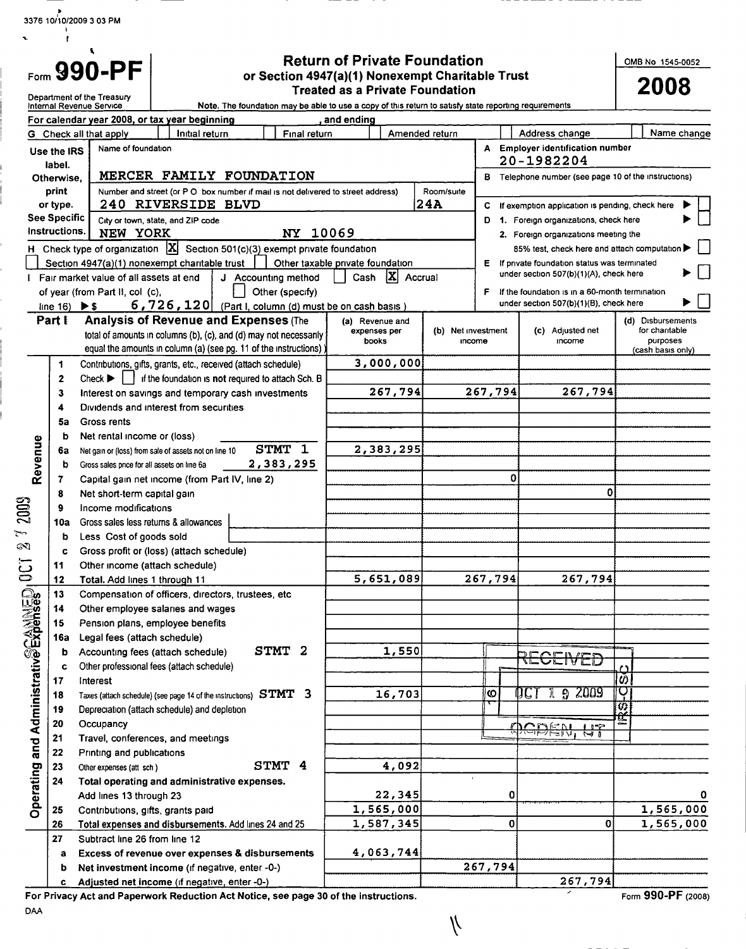3376 10/10/2009 3 03 PM  $\mathbf{r}$ 

| $F_{\text{corr}}$ 990-PF |  |  |  |
|--------------------------|--|--|--|

Return of Private Foundation or Section 4947(a)(1) Nonexempt Charitable Trust

OMB No 1545-0052

| Form JJU-I I                          |                                |                                                                                                      |                                        |                                                                                                           | or Section 494/(a)(1) Nonexempt Charitable Trust<br><b>Treated as a Private Foundation</b>            |                   |                    |         |                                                                                     | 2008                       |  |  |
|---------------------------------------|--------------------------------|------------------------------------------------------------------------------------------------------|----------------------------------------|-----------------------------------------------------------------------------------------------------------|-------------------------------------------------------------------------------------------------------|-------------------|--------------------|---------|-------------------------------------------------------------------------------------|----------------------------|--|--|
|                                       |                                | Department of the Treasury<br>Internal Revenue Service                                               |                                        |                                                                                                           | Note. The foundation may be able to use a copy of this return to satisfy state reporting requirements |                   |                    |         |                                                                                     |                            |  |  |
|                                       |                                | For calendar year 2008, or tax year beginning                                                        |                                        |                                                                                                           | and ending                                                                                            |                   |                    |         |                                                                                     |                            |  |  |
|                                       |                                | G Check all that apply                                                                               | Initial return                         | Final return                                                                                              |                                                                                                       |                   | Amended return     |         | Address change                                                                      | Name change                |  |  |
|                                       | Use the IRS                    | Name of foundation                                                                                   |                                        |                                                                                                           |                                                                                                       |                   |                    |         | A Employer identification number                                                    |                            |  |  |
|                                       | label.                         |                                                                                                      |                                        |                                                                                                           |                                                                                                       |                   |                    |         | 20-1982204                                                                          |                            |  |  |
|                                       | Otherwise.                     |                                                                                                      |                                        | MERCER FAMILY FOUNDATION                                                                                  |                                                                                                       |                   |                    | в       | Telephone number (see page 10 of the instructions)                                  |                            |  |  |
|                                       | print                          |                                                                                                      |                                        | Number and street (or P O box number if mail is not delivered to street address)                          |                                                                                                       |                   | Room/suite         |         |                                                                                     |                            |  |  |
|                                       | or type.                       |                                                                                                      | 240 RIVERSIDE BLVD                     |                                                                                                           |                                                                                                       |                   | 24A                | С       | If exemption application is pending, check here                                     |                            |  |  |
|                                       | See Specific<br>Instructions.  |                                                                                                      | City or town, state, and ZIP code      |                                                                                                           |                                                                                                       |                   |                    | D       | 1. Foreign organizations, check here                                                |                            |  |  |
|                                       |                                | NEW YORK                                                                                             |                                        | NY 10069<br>H Check type of organization $\boxed{\mathbf{X}}$ Section 501(c)(3) exempt private foundation |                                                                                                       |                   |                    |         | 2. Foreign organizations meeting the<br>85% test, check here and attach computation |                            |  |  |
|                                       |                                | Section 4947(a)(1) nonexempt charitable trust                                                        |                                        | Other taxable private foundation                                                                          |                                                                                                       |                   |                    | E.      | If private foundation status was terminated                                         |                            |  |  |
|                                       |                                | I Fair market value of all assets at end                                                             |                                        | J Accounting method                                                                                       | Cash                                                                                                  | $ {\bf X} $       | Accrual            |         | under section 507(b)(1)(A), check here                                              |                            |  |  |
|                                       |                                | of year (from Part II, col (c),                                                                      |                                        | Other (specify)                                                                                           |                                                                                                       |                   |                    | F.      | If the foundation is in a 60-month termination                                      |                            |  |  |
|                                       | line $16)$ $\triangleright$ \$ |                                                                                                      |                                        | $6,726,120$ (Part I, column (d) must be on cash basis)                                                    |                                                                                                       |                   |                    |         | under section 507(b)(1)(B), check here                                              |                            |  |  |
|                                       | Part I                         |                                                                                                      |                                        | <b>Analysis of Revenue and Expenses (The</b>                                                              | (a) Revenue and                                                                                       |                   |                    |         |                                                                                     | (d) Disbursements          |  |  |
|                                       |                                |                                                                                                      |                                        | total of amounts in columns (b), (c), and (d) may not necessarily                                         | books                                                                                                 | expenses per      | (b) Net investment | income  | (c) Adjusted net<br>income                                                          | for charitable<br>purposes |  |  |
|                                       |                                |                                                                                                      |                                        | equal the amounts in column (a) (see pg. 11 of the instructions)                                          |                                                                                                       |                   |                    |         |                                                                                     | (cash basis only)          |  |  |
|                                       | 1                              |                                                                                                      |                                        | Contributions, gifts, grants, etc., received (attach schedule)                                            |                                                                                                       | 3,000,000         |                    |         |                                                                                     |                            |  |  |
|                                       | 2                              | $Check \triangleright \square$                                                                       |                                        | if the foundation is not required to attach Sch. B                                                        |                                                                                                       |                   |                    |         |                                                                                     |                            |  |  |
|                                       | 3                              |                                                                                                      |                                        | Interest on savings and temporary cash investments                                                        |                                                                                                       | 267,794           |                    | 267,794 | 267,794                                                                             |                            |  |  |
|                                       | 4                              |                                                                                                      | Dividends and interest from securities |                                                                                                           |                                                                                                       |                   |                    |         |                                                                                     |                            |  |  |
|                                       | 5a                             | Gross rents                                                                                          |                                        |                                                                                                           |                                                                                                       |                   |                    |         |                                                                                     |                            |  |  |
|                                       | b                              | Net rental income or (loss)                                                                          |                                        | STMT 1                                                                                                    |                                                                                                       | 2,383,295         |                    |         |                                                                                     |                            |  |  |
|                                       | 6а<br>b                        | Net gain or (loss) from sale of assets not on line 10<br>Gross sales price for all assets on line 6a |                                        | 2,383,295                                                                                                 |                                                                                                       |                   |                    |         |                                                                                     |                            |  |  |
| Revenue                               | 7                              | Capital gain net income (from Part IV, line 2)                                                       |                                        |                                                                                                           |                                                                                                       |                   |                    | 0       |                                                                                     |                            |  |  |
|                                       | 8                              | Net short-term capital gain                                                                          |                                        |                                                                                                           |                                                                                                       |                   |                    |         | 0                                                                                   |                            |  |  |
| 2009                                  |                                | Income modifications                                                                                 |                                        |                                                                                                           |                                                                                                       |                   |                    |         |                                                                                     |                            |  |  |
|                                       | 10a                            | Gross sales less returns & allowances                                                                |                                        |                                                                                                           |                                                                                                       |                   |                    |         |                                                                                     |                            |  |  |
| ىسك                                   | b                              | Less Cost of goods sold                                                                              |                                        |                                                                                                           |                                                                                                       |                   |                    |         |                                                                                     |                            |  |  |
| Z                                     | c                              | Gross profit or (loss) (attach schedule)                                                             |                                        |                                                                                                           |                                                                                                       |                   |                    |         |                                                                                     |                            |  |  |
| 0C                                    | 11                             | Other income (attach schedule)                                                                       |                                        |                                                                                                           |                                                                                                       |                   |                    |         |                                                                                     |                            |  |  |
|                                       | 12                             | Total. Add lines 1 through 11                                                                        |                                        |                                                                                                           |                                                                                                       | 5,651,089         |                    | 267,794 | 267,794                                                                             |                            |  |  |
|                                       | 13                             | Compensation of officers, directors, trustees, etc.                                                  |                                        |                                                                                                           |                                                                                                       |                   |                    |         |                                                                                     |                            |  |  |
|                                       | 14<br>15                       | Other employee salaries and wages                                                                    |                                        |                                                                                                           |                                                                                                       |                   |                    |         |                                                                                     |                            |  |  |
|                                       | 16а                            | Pension plans, employee benefits<br>Legal fees (attach schedule)                                     |                                        |                                                                                                           |                                                                                                       |                   |                    |         |                                                                                     |                            |  |  |
|                                       | b                              | Accounting fees (attach schedule)                                                                    |                                        | STMT 2                                                                                                    |                                                                                                       | 1,550             |                    |         |                                                                                     |                            |  |  |
|                                       |                                | Other professional fees (attach schedule)                                                            |                                        |                                                                                                           |                                                                                                       |                   |                    |         | RECEIVED                                                                            |                            |  |  |
|                                       | 17                             | Interest                                                                                             |                                        |                                                                                                           |                                                                                                       |                   |                    |         |                                                                                     | $\frac{1}{3}$              |  |  |
|                                       | 18                             |                                                                                                      |                                        | Taxes (attach schedule) (see page 14 of the instructions) $STMT - 3$                                      |                                                                                                       | 16,703            |                    | ဖ       | 92009<br>DC)<br>Л                                                                   | ਦ                          |  |  |
|                                       | 19                             | Depreciation (attach schedule) and depletion                                                         |                                        |                                                                                                           |                                                                                                       |                   |                    |         |                                                                                     | $\overline{u}$             |  |  |
|                                       | 20                             | Occupancy                                                                                            |                                        |                                                                                                           |                                                                                                       |                   |                    |         | <b>QICBEN,</b><br>112                                                               |                            |  |  |
|                                       | 21                             | Travel, conferences, and meetings                                                                    |                                        |                                                                                                           |                                                                                                       |                   |                    |         |                                                                                     |                            |  |  |
|                                       | 22                             | Printing and publications                                                                            |                                        |                                                                                                           |                                                                                                       |                   |                    |         |                                                                                     |                            |  |  |
|                                       | 23                             | Other expenses (att sch)                                                                             |                                        | STMT 4                                                                                                    |                                                                                                       | 4,092             |                    |         |                                                                                     |                            |  |  |
| Operating and Administrative Expenses | 24                             | Total operating and administrative expenses.<br>Add lines 13 through 23                              |                                        |                                                                                                           |                                                                                                       | 22,345            |                    | 0       |                                                                                     | 0                          |  |  |
|                                       | 25                             | Contributions, gifts, grants paid                                                                    |                                        |                                                                                                           |                                                                                                       | 1,565,000         |                    |         |                                                                                     | 1,565,000                  |  |  |
|                                       | 26                             |                                                                                                      |                                        | Total expenses and disbursements. Add lines 24 and 25                                                     |                                                                                                       | 1,587,345         |                    | 0       | 0                                                                                   | 1,565,000                  |  |  |
|                                       | 27                             | Subtract line 26 from line 12                                                                        |                                        |                                                                                                           |                                                                                                       |                   |                    |         |                                                                                     |                            |  |  |
|                                       | а                              |                                                                                                      |                                        | Excess of revenue over expenses & disbursements                                                           |                                                                                                       | 4,063,74 <u>4</u> |                    |         |                                                                                     |                            |  |  |
|                                       | b                              | Net investment income (if negative, enter -0-)                                                       |                                        |                                                                                                           |                                                                                                       |                   |                    | 267,794 |                                                                                     |                            |  |  |
|                                       | c                              | Adjusted net income (if negative, enter -0-)                                                         |                                        |                                                                                                           |                                                                                                       |                   |                    |         | 267,794                                                                             |                            |  |  |

 $\sqrt{ }$ 

For Privacy Act and Paperwork Reduction Act Notice , see page 30 of the instructions.

Form 990-PF (2008)

DAA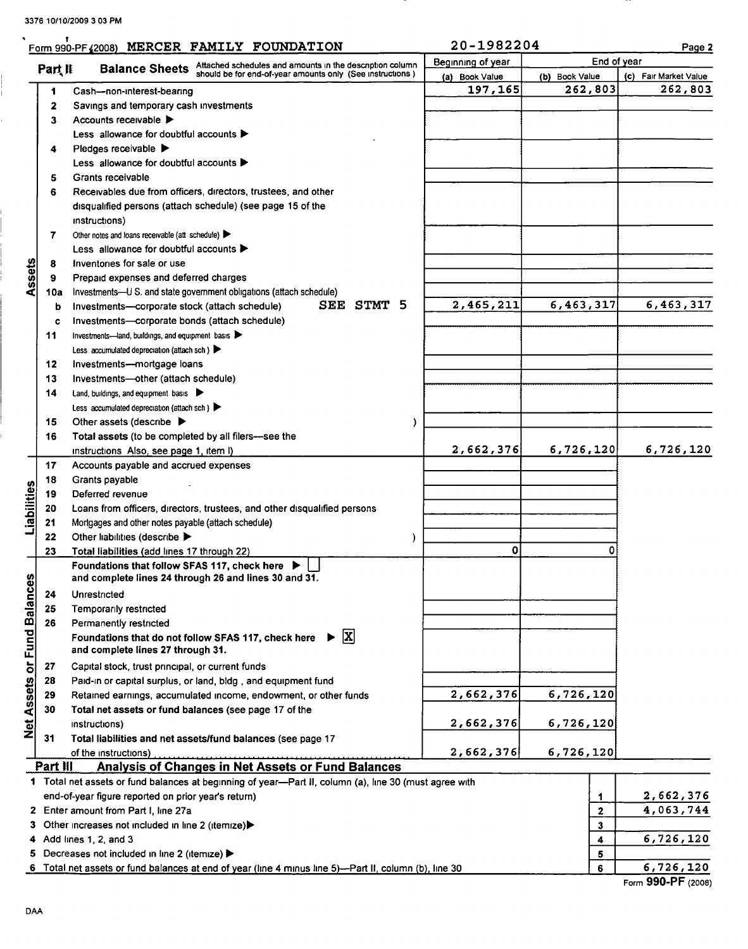$\ddot{\phantom{0}}$ 

|                             |          | Form 990-PF (2008) MERCER FAMILY FOUNDATION                                                            | 20-1982204        |                |              |  | Page 2                |  |  |
|-----------------------------|----------|--------------------------------------------------------------------------------------------------------|-------------------|----------------|--------------|--|-----------------------|--|--|
|                             |          | <b>Balance Sheets</b> Attached schedules and amounts in the description column                         | Beginning of year |                | End of year  |  |                       |  |  |
|                             | Part II  | should be for end-of-year amounts only (See instructions)                                              | (a) Book Value    | (b) Book Value |              |  | (c) Fair Market Value |  |  |
|                             | 1        | Cash-non-interest-bearing                                                                              | 197,165           | 262,803        |              |  | 262,803               |  |  |
|                             | 2        | Savings and temporary cash investments                                                                 |                   |                |              |  |                       |  |  |
|                             | 3        | Accounts receivable                                                                                    |                   |                |              |  |                       |  |  |
|                             |          | Less allowance for doubtful accounts $\blacktriangleright$                                             |                   |                |              |  |                       |  |  |
|                             | 4        | Pledges receivable $\blacktriangleright$                                                               |                   |                |              |  |                       |  |  |
|                             |          | Less allowance for doubtful accounts $\blacktriangleright$                                             |                   |                |              |  |                       |  |  |
|                             | 5        | Grants receivable                                                                                      |                   |                |              |  |                       |  |  |
|                             | 6        | Receivables due from officers, directors, trustees, and other                                          |                   |                |              |  |                       |  |  |
|                             |          | disqualified persons (attach schedule) (see page 15 of the                                             |                   |                |              |  |                       |  |  |
|                             |          | instructions)                                                                                          |                   |                |              |  |                       |  |  |
|                             | 7        | Other notes and loans receivable (att schedule)                                                        |                   |                |              |  |                       |  |  |
|                             |          | Less allowance for doubtful accounts $\blacktriangleright$                                             |                   |                |              |  |                       |  |  |
|                             |          | Inventories for sale or use                                                                            |                   |                |              |  |                       |  |  |
| Assets                      | 8<br>9   | Prepaid expenses and deferred charges                                                                  |                   |                |              |  |                       |  |  |
|                             |          | Investments-U S. and state government obligations (attach schedule)                                    |                   |                |              |  |                       |  |  |
|                             | 10a      | SEE STMT 5<br>Investments-corporate stock (attach schedule)                                            | 2,465,211         | 6,463,317      |              |  | 6,463,317             |  |  |
|                             | b        |                                                                                                        |                   |                |              |  |                       |  |  |
|                             | c        | Investments-corporate bonds (attach schedule)                                                          |                   |                |              |  |                       |  |  |
|                             | 11       | Investments-land, buildings, and equipment basis                                                       |                   |                |              |  |                       |  |  |
|                             |          | Less accumulated depreciation (attach sch.)                                                            |                   |                |              |  |                       |  |  |
|                             | 12       | Investments---mortgage loans                                                                           |                   |                |              |  |                       |  |  |
|                             | 13       | Investments-other (attach schedule)                                                                    |                   |                |              |  |                       |  |  |
|                             | 14       | Land, buildings, and equipment basis                                                                   |                   |                |              |  |                       |  |  |
|                             |          | Less accumulated depreciation (attach sch)                                                             |                   |                |              |  |                       |  |  |
|                             | 15       | Other assets (describe $\blacktriangleright$<br>)                                                      |                   |                |              |  |                       |  |  |
|                             | 16       | Total assets (to be completed by all filers-see the                                                    |                   |                |              |  |                       |  |  |
|                             |          | instructions Also, see page 1, item I)                                                                 | 2,662,376         | 6,726,120      |              |  | 6,726,120             |  |  |
|                             | 17       | Accounts payable and accrued expenses                                                                  |                   |                |              |  |                       |  |  |
|                             | 18       | Grants payable                                                                                         |                   |                |              |  |                       |  |  |
|                             | 19       | Deferred revenue                                                                                       |                   |                |              |  |                       |  |  |
| Liabilities                 | 20       | Loans from officers, directors, trustees, and other disqualified persons                               |                   |                |              |  |                       |  |  |
|                             | 21       | Mortgages and other notes payable (attach schedule)                                                    |                   |                |              |  |                       |  |  |
|                             | 22       | Other liabilities (describe ▶<br>$\mathcal{Y}$                                                         |                   |                |              |  |                       |  |  |
|                             | 23       | Total liabilities (add lines 17 through 22)                                                            | $\mathbf 0$       |                | Ω            |  |                       |  |  |
|                             |          | Foundations that follow SFAS 117, check here ▶                                                         |                   |                |              |  |                       |  |  |
|                             |          | and complete lines 24 through 26 and lines 30 and 31.                                                  |                   |                |              |  |                       |  |  |
|                             | 24       | Unrestricted                                                                                           |                   |                |              |  |                       |  |  |
| Net Assets or Fund Balances | 25       | Temporarily restricted                                                                                 |                   |                |              |  |                       |  |  |
|                             | 26       | Permanently restricted                                                                                 |                   |                |              |  |                       |  |  |
|                             |          | $\mathbf{x}$<br>Foundations that do not follow SFAS 117, check here ▶                                  |                   |                |              |  |                       |  |  |
|                             |          | and complete lines 27 through 31.                                                                      |                   |                |              |  |                       |  |  |
|                             | 27       | Capital stock, trust principal, or current funds                                                       |                   |                |              |  |                       |  |  |
|                             | 28       | Paid-in or capital surplus, or land, bldg, and equipment fund                                          |                   |                |              |  |                       |  |  |
|                             | 29       | Retained earnings, accumulated income, endowment, or other funds                                       | 2,662,376         | 6,726,120      |              |  |                       |  |  |
|                             | 30       | Total net assets or fund balances (see page 17 of the                                                  |                   |                |              |  |                       |  |  |
|                             |          | instructions)                                                                                          | 2,662,376         | 6,726,120      |              |  |                       |  |  |
|                             | 31       | Total liabilities and net assets/fund balances (see page 17                                            |                   |                |              |  |                       |  |  |
|                             |          | of the instructions)                                                                                   | 2,662,376         | 6,726,120      |              |  |                       |  |  |
|                             | Part III | <b>Analysis of Changes in Net Assets or Fund Balances</b>                                              |                   |                |              |  |                       |  |  |
|                             |          | 1 Total net assets or fund balances at beginning of year—Part II, column (a), line 30 (must agree with |                   |                |              |  |                       |  |  |
|                             |          | end-of-year figure reported on prior year's return)                                                    |                   |                | 1            |  | 2,662,376             |  |  |
|                             |          | 2 Enter amount from Part I, line 27a                                                                   |                   |                | $\mathbf{2}$ |  | 4,063,744             |  |  |
|                             |          | 3 Other increases not included in line 2 (itemize)                                                     |                   |                | 3            |  |                       |  |  |
|                             |          | 4 Add lines 1, 2, and 3                                                                                |                   |                | 4            |  | 6,726,120             |  |  |
|                             |          | 5 Decreases not included in line 2 (itemize) >                                                         |                   |                | 5            |  |                       |  |  |

6 Total net assets or fund balances at end of year (line 4 minus line 5)—Part II, column (b), line 30  $\begin{array}{|l|} 6 & 6,726,120 \end{array}$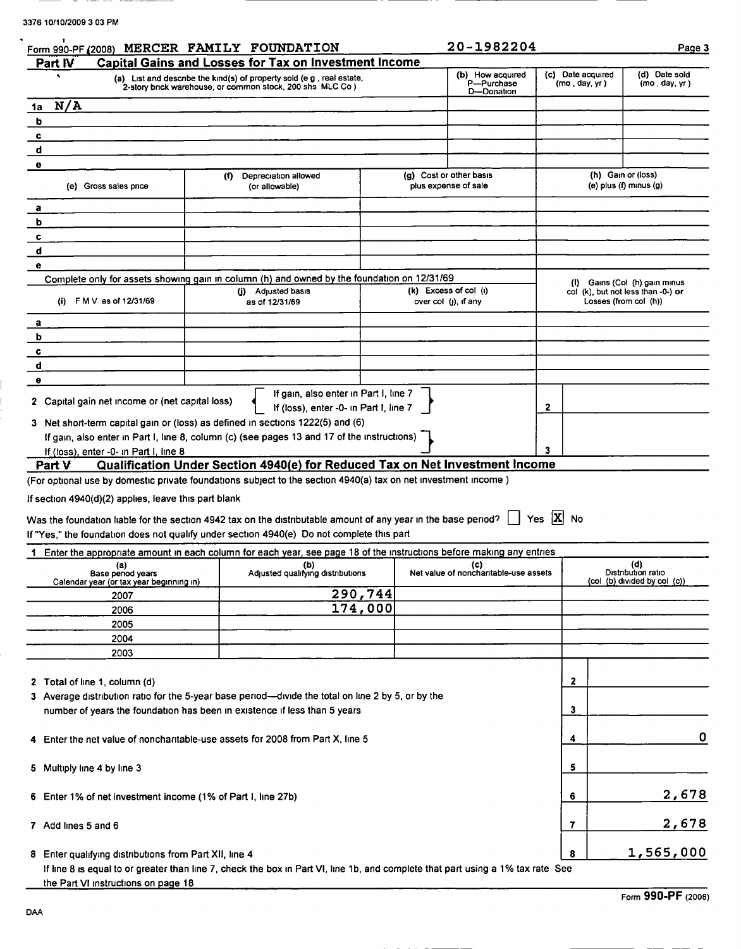$-$ 

| Form 990-PF (2008) MERCER FAMILY FOUNDATION<br>Part IV              | <b>Capital Gains and Losses for Tax on Investment Income</b>                                                                                                                                                |         |                                                 |                                          |                                                             |
|---------------------------------------------------------------------|-------------------------------------------------------------------------------------------------------------------------------------------------------------------------------------------------------------|---------|-------------------------------------------------|------------------------------------------|-------------------------------------------------------------|
|                                                                     | (a) List and describe the kind(s) of property sold (e g , real estate,<br>2-story brick warehouse, or common stock, 200 shs MLC Co)                                                                         |         | (b) How acquired<br>P-Purchase<br>D-Donation    | (c) Date acquired<br>(mo, day, yr)       | (d) Date sold<br>(mo, day, yr)                              |
| N/A<br>1a                                                           |                                                                                                                                                                                                             |         |                                                 |                                          |                                                             |
| b                                                                   |                                                                                                                                                                                                             |         |                                                 |                                          |                                                             |
| c<br>d                                                              |                                                                                                                                                                                                             |         |                                                 |                                          |                                                             |
| θ                                                                   |                                                                                                                                                                                                             |         |                                                 |                                          |                                                             |
| (e) Gross sales price                                               | (f)<br>Depreciation allowed<br>(or allowable)                                                                                                                                                               |         | (g) Cost or other basis<br>plus expense of sale |                                          | (h) Gain or (loss)<br>(e) $plus (f)$ minus $(g)$            |
| a                                                                   |                                                                                                                                                                                                             |         |                                                 |                                          |                                                             |
| b                                                                   |                                                                                                                                                                                                             |         |                                                 |                                          |                                                             |
| c                                                                   |                                                                                                                                                                                                             |         |                                                 |                                          |                                                             |
| d                                                                   |                                                                                                                                                                                                             |         |                                                 |                                          |                                                             |
| е                                                                   |                                                                                                                                                                                                             |         |                                                 |                                          |                                                             |
|                                                                     | Complete only for assets showing gain in column (h) and owned by the foundation on 12/31/69                                                                                                                 |         | $(k)$ Excess of col $(i)$                       |                                          | (I) Gains (Col (h) gain minus                               |
| FMV as of 12/31/69<br>(i)                                           | (j) Adjusted basis<br>as of 12/31/69                                                                                                                                                                        |         | over col (j), if any                            |                                          | col (k), but not less than -0-) or<br>Losses (from col (h)) |
| а                                                                   |                                                                                                                                                                                                             |         |                                                 |                                          |                                                             |
| b                                                                   |                                                                                                                                                                                                             |         |                                                 |                                          |                                                             |
| c                                                                   |                                                                                                                                                                                                             |         |                                                 |                                          |                                                             |
| d                                                                   |                                                                                                                                                                                                             |         |                                                 |                                          |                                                             |
| е                                                                   | If gain, also enter in Part I, line 7                                                                                                                                                                       |         |                                                 |                                          |                                                             |
| 2 Capital gain net income or (net capital loss)                     | If (loss), enter -0- in Part I, line 7                                                                                                                                                                      |         |                                                 | 2                                        |                                                             |
|                                                                     | 3 Net short-term capital gain or (loss) as defined in sections 1222(5) and (6)                                                                                                                              |         |                                                 |                                          |                                                             |
|                                                                     | If gain, also enter in Part I, line 8, column (c) (see pages 13 and 17 of the instructions)                                                                                                                 |         |                                                 | 3                                        |                                                             |
| If (loss), enter -0- in Part I, line 8<br>Part V                    | Qualification Under Section 4940(e) for Reduced Tax on Net Investment Income                                                                                                                                |         |                                                 |                                          |                                                             |
| If section 4940(d)(2) applies, leave this part blank                | Was the foundation liable for the section 4942 tax on the distributable amount of any year in the base period?<br>If "Yes," the foundation does not qualify under section 4940(e) Do not complete this part |         |                                                 | $\vert$ $\vert$ Yes $\vert$ X $\vert$ No |                                                             |
|                                                                     | Enter the appropriate amount in each column for each year, see page 18 of the instructions before making any entries                                                                                        |         |                                                 |                                          |                                                             |
| (a)<br>Base penod years<br>Calendar year (or tax year beginning in) | (b)<br>Adjusted qualifying distributions                                                                                                                                                                    |         | (c)<br>Net value of nonchantable-use assets     |                                          | (d)<br>Distribution ratio<br>(col (b) divided by col (c))   |
| 2007                                                                |                                                                                                                                                                                                             | 290,744 |                                                 |                                          |                                                             |
| 2006                                                                |                                                                                                                                                                                                             | 174,000 |                                                 |                                          |                                                             |
| 2005                                                                |                                                                                                                                                                                                             |         |                                                 |                                          |                                                             |
| 2004                                                                |                                                                                                                                                                                                             |         |                                                 |                                          |                                                             |
| 2003                                                                |                                                                                                                                                                                                             |         |                                                 |                                          |                                                             |
| 2 Total of line 1, column (d)                                       |                                                                                                                                                                                                             |         |                                                 | 2                                        |                                                             |
|                                                                     | 3 Average distribution ratio for the 5-year base period—divide the total on line 2 by 5, or by the                                                                                                          |         |                                                 | 3                                        |                                                             |
|                                                                     | number of years the foundation has been in existence if less than 5 years                                                                                                                                   |         |                                                 |                                          |                                                             |
|                                                                     | 4 Enter the net value of noncharitable-use assets for 2008 from Part X, line 5                                                                                                                              |         |                                                 | 4                                        | 0                                                           |
| 5 Multiply line 4 by line 3                                         |                                                                                                                                                                                                             |         |                                                 | 5                                        |                                                             |
| 6 Enter 1% of net investment income (1% of Part I, line 27b)        |                                                                                                                                                                                                             |         |                                                 | 6                                        | 2,678                                                       |
| 7 Add lines 5 and 6                                                 |                                                                                                                                                                                                             |         |                                                 | 7                                        | 2,678                                                       |
| 8 Enter qualifying distributions from Part XII, line 4              |                                                                                                                                                                                                             |         |                                                 | 8                                        | 1,565,000                                                   |
| the Part VI instructions on page 18                                 | If line 8 is equal to or greater than line 7, check the box in Part VI, line 1b, and complete that part using a 1% tax rate See                                                                             |         |                                                 |                                          |                                                             |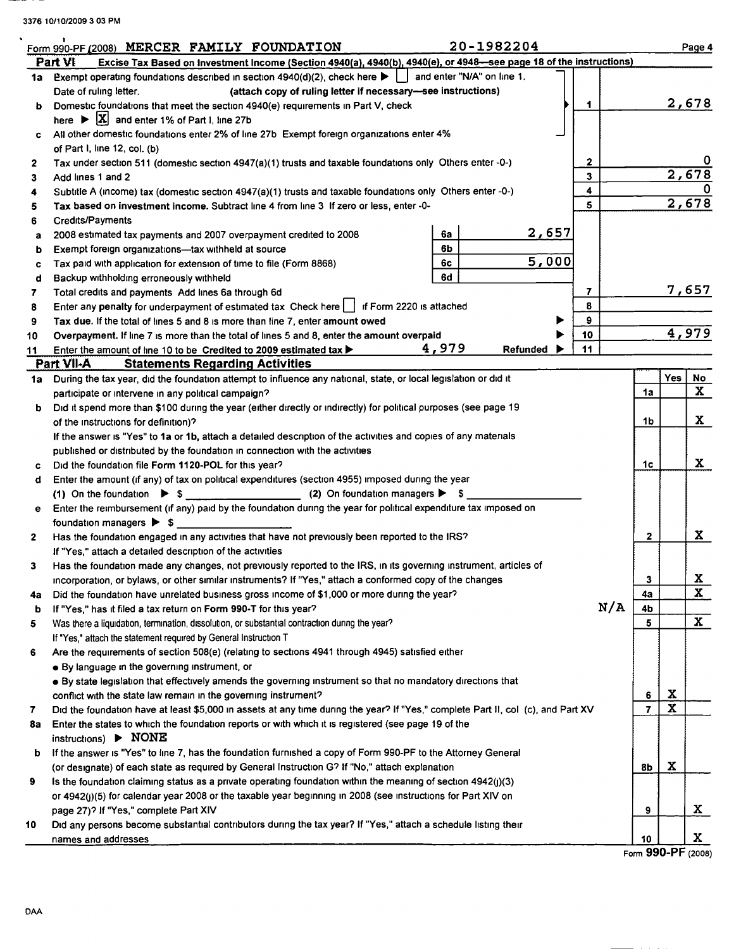|              | Form 990-PF (2008) MERCER FAMILY FOUNDATION                                                                                         |                                                                                                                    |  |       | 20-1982204   |  |    |     |                |             | Page 4       |
|--------------|-------------------------------------------------------------------------------------------------------------------------------------|--------------------------------------------------------------------------------------------------------------------|--|-------|--------------|--|----|-----|----------------|-------------|--------------|
|              | Part VI                                                                                                                             | Excise Tax Based on Investment Income (Section 4940(a), 4940(b), 4940(e), or 4948-see page 18 of the instructions) |  |       |              |  |    |     |                |             |              |
| 1a           | Exempt operating foundations described in section 4940(d)(2), check here $\blacktriangleright \bigsqcup$ and enter "N/A" on line 1. |                                                                                                                    |  |       |              |  |    |     |                |             |              |
|              | Date of ruling letter.                                                                                                              | (attach copy of ruling letter if necessary-see instructions)                                                       |  |       |              |  |    |     |                |             |              |
| ь            | Domestic foundations that meet the section 4940(e) requirements in Part V, check                                                    |                                                                                                                    |  |       |              |  | 1  |     |                |             | 2,678        |
|              | here $\triangleright$ $\lfloor \mathbf{X} \rfloor$ and enter 1% of Part I, line 27b                                                 |                                                                                                                    |  |       |              |  |    |     |                |             |              |
| c            | All other domestic foundations enter 2% of line 27b Exempt foreign organizations enter 4%                                           |                                                                                                                    |  |       |              |  |    |     |                |             |              |
|              | of Part I, line 12, col. (b)                                                                                                        |                                                                                                                    |  |       |              |  |    |     |                |             |              |
| 2            | Tax under section 511 (domestic section 4947(a)(1) trusts and taxable foundations only Others enter -0-)                            |                                                                                                                    |  |       |              |  | 2  |     |                |             |              |
| 3            | Add lines 1 and 2                                                                                                                   |                                                                                                                    |  |       |              |  | 3  |     |                |             | 2,678        |
| 4            | 4<br>Subtitle A (income) tax (domestic section 4947(a)(1) trusts and taxable foundations only Others enter -0-)                     |                                                                                                                    |  |       |              |  |    |     |                |             |              |
| 5            | Tax based on investment income. Subtract line 4 from line 3 If zero or less, enter -0-                                              |                                                                                                                    |  |       |              |  | 5  |     |                |             | 2,678        |
| 6            | Credits/Payments                                                                                                                    |                                                                                                                    |  |       |              |  |    |     |                |             |              |
| a            | 2008 estimated tax payments and 2007 overpayment credited to 2008                                                                   |                                                                                                                    |  | 6а    | <u>2,657</u> |  |    |     |                |             |              |
| b            | Exempt foreign organizations-tax withheld at source                                                                                 |                                                                                                                    |  | 6b    |              |  |    |     |                |             |              |
| c            | Tax paid with application for extension of time to file (Form 8868)                                                                 |                                                                                                                    |  | 6c    | 5,000        |  |    |     |                |             |              |
| d            | Backup withholding erroneously withheld                                                                                             |                                                                                                                    |  | 6d    |              |  |    |     |                |             |              |
| 7            | Total credits and payments Add lines 6a through 6d                                                                                  |                                                                                                                    |  |       |              |  | 7  |     |                |             | 7,657        |
| 8            | Enter any penalty for underpayment of estimated tax Check here   f Form 2220 is attached                                            |                                                                                                                    |  |       |              |  | 8  |     |                |             |              |
| 9            | Tax due. If the total of lines 5 and 8 is more than line 7, enter amount owed                                                       |                                                                                                                    |  |       |              |  | 9  |     |                |             |              |
| 10           | Overpayment. If line 7 is more than the total of lines 5 and 8, enter the amount overpaid                                           |                                                                                                                    |  |       |              |  | 10 |     |                |             | 4,979        |
| 11           | Enter the amount of line 10 to be Credited to 2009 estimated tax $\blacktriangleright$                                              |                                                                                                                    |  | 4,979 | Refunded     |  | 11 |     |                |             |              |
|              | Part VII-A<br><b>Statements Regarding Activities</b>                                                                                |                                                                                                                    |  |       |              |  |    |     |                |             |              |
| 1a i         | During the tax year, did the foundation attempt to influence any national, state, or local legislation or did it                    |                                                                                                                    |  |       |              |  |    |     |                | Yes         | No           |
|              | participate or intervene in any political campaign?                                                                                 |                                                                                                                    |  |       |              |  |    |     | 1a             |             | X            |
| b.           | Did it spend more than \$100 during the year (either directly or indirectly) for political purposes (see page 19                    |                                                                                                                    |  |       |              |  |    |     |                |             |              |
|              | of the instructions for definition)?                                                                                                |                                                                                                                    |  |       |              |  |    |     | 1b             |             | X            |
|              | If the answer is "Yes" to 1a or 1b, attach a detailed description of the activities and copies of any materials                     |                                                                                                                    |  |       |              |  |    |     |                |             |              |
|              | published or distributed by the foundation in connection with the activities                                                        |                                                                                                                    |  |       |              |  |    |     |                |             |              |
|              |                                                                                                                                     |                                                                                                                    |  |       |              |  |    |     | 1c             |             | X            |
| c            | Did the foundation file Form 1120-POL for this year?                                                                                |                                                                                                                    |  |       |              |  |    |     |                |             |              |
| đ            | Enter the amount (if any) of tax on political expenditures (section 4955) imposed during the year                                   |                                                                                                                    |  |       |              |  |    |     |                |             |              |
|              |                                                                                                                                     |                                                                                                                    |  |       |              |  |    |     |                |             |              |
| е            | Enter the reimbursement (if any) paid by the foundation during the year for political expenditure tax imposed on                    |                                                                                                                    |  |       |              |  |    |     |                |             |              |
|              | foundation managers $\triangleright$ \$                                                                                             |                                                                                                                    |  |       |              |  |    |     |                |             |              |
| $\mathbf{2}$ | Has the foundation engaged in any activities that have not previously been reported to the IRS?                                     |                                                                                                                    |  |       |              |  |    |     | $\mathbf{2}$   |             | X            |
|              | If "Yes," attach a detailed description of the activities                                                                           |                                                                                                                    |  |       |              |  |    |     |                |             |              |
| 3            | Has the foundation made any changes, not previously reported to the IRS, in its governing instrument, articles of                   |                                                                                                                    |  |       |              |  |    |     |                |             |              |
|              | incorporation, or bylaws, or other similar instruments? If "Yes," attach a conformed copy of the changes                            |                                                                                                                    |  |       |              |  |    |     | 3              |             | X            |
| 4а           | Did the foundation have unrelated business gross income of \$1,000 or more during the year?                                         |                                                                                                                    |  |       |              |  |    |     | 4а             |             | $\mathbf{x}$ |
| b            | If "Yes," has it filed a tax return on Form 990-T for this year?                                                                    |                                                                                                                    |  |       |              |  |    | N/A | 4b             |             |              |
| 5            | Was there a liquidation, termination, dissolution, or substantial contraction during the year?                                      |                                                                                                                    |  |       |              |  |    |     | 5              |             | $\mathbf{x}$ |
|              | If "Yes," attach the statement required by General Instruction T                                                                    |                                                                                                                    |  |       |              |  |    |     |                |             |              |
| 6            | Are the requirements of section 508(e) (relating to sections 4941 through 4945) satisfied either                                    |                                                                                                                    |  |       |              |  |    |     |                |             |              |
|              | • By language in the governing instrument, or                                                                                       |                                                                                                                    |  |       |              |  |    |     |                |             |              |
|              | • By state legislation that effectively amends the governing instrument so that no mandatory directions that                        |                                                                                                                    |  |       |              |  |    |     |                |             |              |
|              | conflict with the state law remain in the governing instrument?                                                                     |                                                                                                                    |  |       |              |  |    |     | 6              | X           |              |
| 7            | Did the foundation have at least \$5,000 in assets at any time during the year? If "Yes," complete Part II, col (c), and Part XV    |                                                                                                                    |  |       |              |  |    |     | $\overline{7}$ | $\mathbf x$ |              |
| 8a           | Enter the states to which the foundation reports or with which it is registered (see page 19 of the<br>instructions) > NONE         |                                                                                                                    |  |       |              |  |    |     |                |             |              |
| b            | If the answer is "Yes" to line 7, has the foundation furnished a copy of Form 990-PF to the Attorney General                        |                                                                                                                    |  |       |              |  |    |     |                |             |              |
|              | (or designate) of each state as required by General Instruction G? If "No," attach explanation                                      |                                                                                                                    |  |       |              |  |    |     | 8b             | X           |              |
| 9            | Is the foundation claiming status as a private operating foundation within the meaning of section 4942(j)(3)                        |                                                                                                                    |  |       |              |  |    |     |                |             |              |
|              | or 4942(j)(5) for calendar year 2008 or the taxable year beginning in 2008 (see instructions for Part XIV on                        |                                                                                                                    |  |       |              |  |    |     |                |             |              |
|              | page 27)? If "Yes," complete Part XIV                                                                                               |                                                                                                                    |  |       |              |  |    |     | 9              |             | X.           |
| 10           | Did any persons become substantial contributors during the tax year? If "Yes," attach a schedule listing their                      |                                                                                                                    |  |       |              |  |    |     |                |             |              |
|              | names and addresses                                                                                                                 |                                                                                                                    |  |       |              |  |    |     | 10             |             | X.           |
|              |                                                                                                                                     |                                                                                                                    |  |       |              |  |    |     |                |             |              |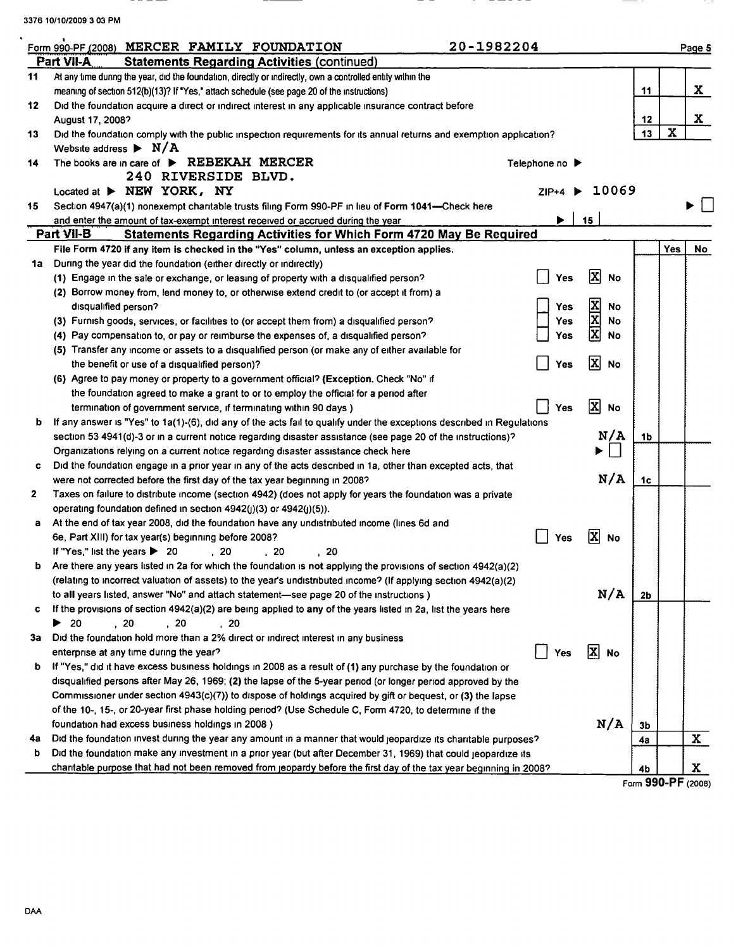|    | 20-1982204<br>Form 990-PF (2008) MERCER FAMILY FOUNDATION                                                              |                |     |                                       |                |             | Page 5 |
|----|------------------------------------------------------------------------------------------------------------------------|----------------|-----|---------------------------------------|----------------|-------------|--------|
|    | Part VII-A<br><b>Statements Regarding Activities (continued)</b>                                                       |                |     |                                       |                |             |        |
| 11 | At any time during the year, did the foundation, directly or indirectly, own a controlled entity within the            |                |     |                                       |                |             |        |
|    | meaning of section 512(b)(13)? If "Yes," attach schedule (see page 20 of the instructions)                             |                |     |                                       | 11             |             | X.     |
| 12 | Did the foundation acquire a direct or indirect interest in any applicable insurance contract before                   |                |     |                                       |                |             | X      |
|    | August 17, 2008?                                                                                                       |                |     |                                       | 12             |             |        |
| 13 | Did the foundation comply with the public inspection requirements for its annual returns and exemption application?    |                |     |                                       | 13             | $\mathbf x$ |        |
|    | Website address $\blacktriangleright$ N/A                                                                              |                |     |                                       |                |             |        |
| 14 | The books are in care of $\triangleright$ REBEKAH MERCER                                                               | Telephone no ▶ |     |                                       |                |             |        |
|    | 240 RIVERSIDE BLVD.                                                                                                    |                |     |                                       |                |             |        |
|    | Located at > NEW YORK, NY                                                                                              | $ZIP+4$        |     | 10069                                 |                |             |        |
| 15 | Section 4947(a)(1) nonexempt chantable trusts filing Form 990-PF in lieu of Form 1041-Check here                       |                |     |                                       |                |             |        |
|    | and enter the amount of tax-exempt interest received or accrued during the year                                        |                |     | 15                                    |                |             |        |
|    | Part VII-B<br><b>Statements Regarding Activities for Which Form 4720 May Be Required</b>                               |                |     |                                       |                |             |        |
|    | File Form 4720 if any item is checked in the "Yes" column, unless an exception applies.                                |                |     |                                       |                | Yes         |        |
| 1a | During the year did the foundation (either directly or indirectly)                                                     |                |     |                                       |                |             |        |
|    | (1) Engage in the sale or exchange, or leasing of property with a disqualified person?                                 |                | Yes | $\mathbf{x}$<br><b>No</b>             |                |             |        |
|    | (2) Borrow money from, lend money to, or otherwise extend credit to (or accept it from) a                              |                |     |                                       |                |             |        |
|    | disqualified person?                                                                                                   |                | Yes | $\frac{\mathbf{x}}{\mathbf{x}}$<br>No |                |             |        |
|    | (3) Furnish goods, services, or facilities to (or accept them from) a disqualified person?                             |                | Yes | <b>No</b>                             |                |             |        |
|    | (4) Pay compensation to, or pay or reimburse the expenses of, a disqualified person?                                   |                | Yes | $\overline{\mathbf{x}}$<br>No         |                |             |        |
|    | (5) Transfer any income or assets to a disqualified person (or make any of either available for                        |                |     |                                       |                |             |        |
|    | the benefit or use of a disqualified person)?                                                                          |                | Yes | x<br><b>No</b>                        |                |             |        |
|    | (6) Agree to pay money or property to a government official? (Exception. Check "No" if                                 |                |     |                                       |                |             |        |
|    | the foundation agreed to make a grant to or to employ the official for a period after                                  |                |     |                                       |                |             |        |
|    | termination of government service, if terminating within 90 days)                                                      | Yes            |     | $\mathbf{x}$<br><b>No</b>             |                |             |        |
| b  | If any answer is "Yes" to 1a(1)-(6), did any of the acts fail to qualify under the exceptions described in Regulations |                |     |                                       |                |             |        |
|    | section 53 4941(d)-3 or in a current notice regarding disaster assistance (see page 20 of the instructions)?           |                |     | N/A                                   | 1 <sub>b</sub> |             |        |
|    | Organizations relying on a current notice regarding disaster assistance check here                                     |                |     | ▶<br>×.                               |                |             |        |
| c  | Did the foundation engage in a prior year in any of the acts described in 1a, other than excepted acts, that           |                |     |                                       |                |             |        |
|    | were not corrected before the first day of the tax year beginning in 2008?                                             |                |     | N/A                                   | 1 <sub>c</sub> |             |        |
|    |                                                                                                                        |                |     |                                       |                |             |        |
|    | Taxes on failure to distribute income (section 4942) (does not apply for years the foundation was a private            |                |     |                                       |                |             |        |
|    | operating foundation defined in section 4942(j)(3) or 4942(j)(5)).                                                     |                |     |                                       |                |             |        |
| a  | At the end of tax year 2008, did the foundation have any undistributed income (lines 6d and                            |                |     | ΙX                                    |                |             |        |
|    | 6e, Part XIII) for tax year(s) beginning before 2008?                                                                  | Yes            |     | No                                    |                |             |        |
|    | If "Yes," list the years > 20<br>.20<br>.20<br>. 20                                                                    |                |     |                                       |                |             |        |
|    | Are there any years listed in 2a for which the foundation is not applying the provisions of section 4942(a)(2)         |                |     |                                       |                |             |        |
|    | (relating to incorrect valuation of assets) to the year's undistributed income? (If applying section 4942(a)(2)        |                |     |                                       |                |             |        |
|    | to all years listed, answer "No" and attach statement—see page 20 of the instructions)                                 |                |     | N/A                                   | 2 <sub>b</sub> |             |        |
|    | If the provisions of section 4942(a)(2) are being applied to any of the years listed in 2a, list the years here        |                |     |                                       |                |             |        |
|    | $\blacktriangleright$ 20<br>, 20<br>, 20<br>, 20                                                                       |                |     |                                       |                |             |        |
| 3a | Did the foundation hold more than a 2% direct or indirect interest in any business                                     |                |     |                                       |                |             |        |
|    | enterprise at any time during the year?                                                                                | Yes            |     | $\vert x \vert$<br><b>No</b>          |                |             |        |
|    | If "Yes," did it have excess business holdings in 2008 as a result of (1) any purchase by the foundation or            |                |     |                                       |                |             |        |
|    | disqualified persons after May 26, 1969; (2) the lapse of the 5-year period (or longer period approved by the          |                |     |                                       |                |             |        |
|    | Commissioner under section 4943(c)(7)) to dispose of holdings acquired by gift or bequest, or (3) the lapse            |                |     |                                       |                |             |        |
|    | of the 10-, 15-, or 20-year first phase holding period? (Use Schedule C, Form 4720, to determine if the                |                |     |                                       |                |             |        |
|    | foundation had excess business holdings in 2008)                                                                       |                |     | N/A                                   | 3 <sub>b</sub> |             |        |
| 4a | Did the foundation invest during the year any amount in a manner that would jeopardize its charitable purposes?        |                |     |                                       | 4a             |             |        |
|    | Did the foundation make any investment in a prior year (but after December 31, 1969) that could jeopardize its         |                |     |                                       |                |             |        |
| b  |                                                                                                                        |                |     |                                       |                |             |        |

\_  $\overline{\phantom{a}}$  -----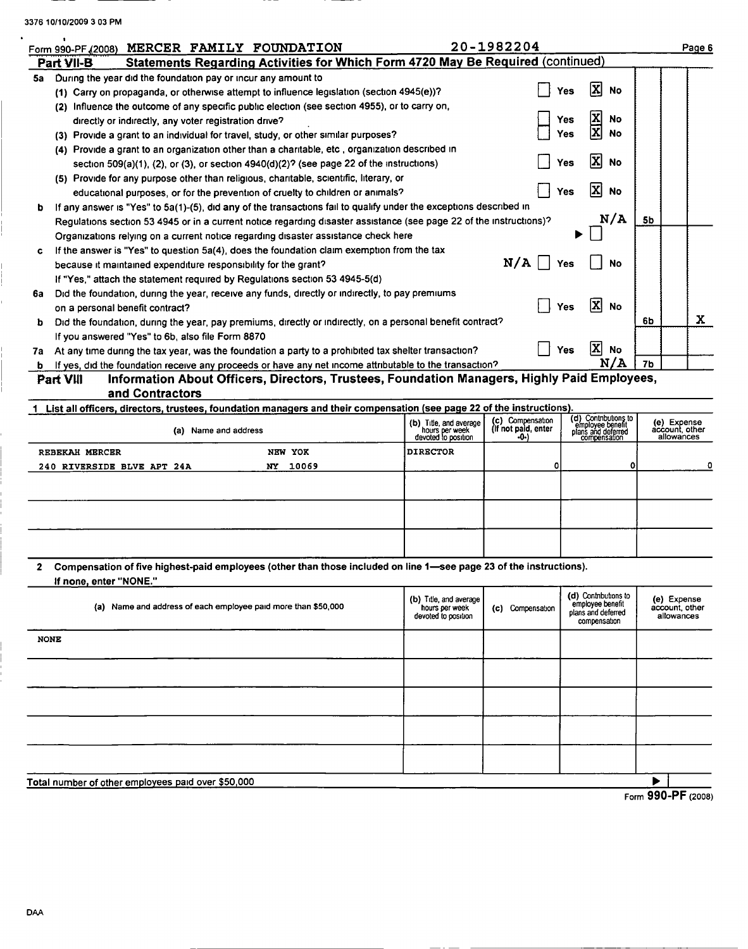$\ddot{\phantom{a}}$ 

|    | Form 990-PF (2008) MERCER FAMILY FOUNDATION                                                                             |                                          | 20-1982204                              |                                                               |    | Page 6                        |  |
|----|-------------------------------------------------------------------------------------------------------------------------|------------------------------------------|-----------------------------------------|---------------------------------------------------------------|----|-------------------------------|--|
|    | <b>Statements Regarding Activities for Which Form 4720 May Be Required (continued)</b><br>Part VII-B                    |                                          |                                         |                                                               |    |                               |  |
| 5a | During the year did the foundation pay or incur any amount to                                                           |                                          |                                         |                                                               |    |                               |  |
|    | (1) Carry on propaganda, or otherwise attempt to influence legislation (section 4945(e))?                               |                                          | Yes                                     | <b>No</b>                                                     |    |                               |  |
|    | (2) Influence the outcome of any specific public election (see section 4955), or to carry on,                           |                                          |                                         |                                                               |    |                               |  |
|    | directly or indirectly, any voter registration drive?                                                                   |                                          | Yes                                     | <b>No</b>                                                     |    |                               |  |
|    | (3) Provide a grant to an individual for travel, study, or other similar purposes?                                      |                                          | Yes                                     | No                                                            |    |                               |  |
|    | (4) Provide a grant to an organization other than a charitable, etc., organization described in                         |                                          |                                         |                                                               |    |                               |  |
|    | section 509(a)(1), (2), or (3), or section $4940(d)(2)$ ? (see page 22 of the instructions)                             |                                          | Yes                                     | <b>No</b>                                                     |    |                               |  |
|    | (5) Provide for any purpose other than religious, charitable, scientific, literary, or                                  |                                          |                                         |                                                               |    |                               |  |
|    | educational purposes, or for the prevention of cruelty to children or animals?                                          |                                          | Yes                                     | ΙxΙ<br><b>No</b>                                              |    |                               |  |
| b  | If any answer is "Yes" to 5a(1)-(5), did any of the transactions fail to qualify under the exceptions described in      |                                          |                                         |                                                               |    |                               |  |
|    | Regulations section 53 4945 or in a current notice regarding disaster assistance (see page 22 of the instructions)?     |                                          |                                         | N/A                                                           | 5b |                               |  |
|    | Organizations relying on a current notice regarding disaster assistance check here                                      |                                          |                                         |                                                               |    |                               |  |
| c  | If the answer is "Yes" to question 5a(4), does the foundation claim exemption from the tax                              |                                          |                                         |                                                               |    |                               |  |
|    | because it maintained expenditure responsibility for the grant?                                                         |                                          | N/A<br>Yes                              | No                                                            |    |                               |  |
|    | If "Yes," attach the statement required by Regulations section 53 4945-5(d)                                             |                                          |                                         |                                                               |    |                               |  |
| 6a | Did the foundation, during the year, receive any funds, directly or indirectly, to pay premiums                         |                                          |                                         |                                                               |    |                               |  |
|    | on a personal benefit contract?                                                                                         |                                          | Yes                                     | X<br><b>No</b>                                                |    |                               |  |
| ь  | Did the foundation, during the year, pay premiums, directly or indirectly, on a personal benefit contract?              |                                          |                                         |                                                               | 6b | X                             |  |
|    | If you answered "Yes" to 6b, also file Form 8870                                                                        |                                          |                                         |                                                               |    |                               |  |
| 7а | At any time during the tax year, was the foundation a party to a prohibited tax shelter transaction?                    |                                          | Yes                                     | $ \mathbf{x} $<br>No                                          |    |                               |  |
|    | If yes, did the foundation receive any proceeds or have any net income attributable to the transaction?                 |                                          |                                         | N/A                                                           | 7b |                               |  |
|    | Information About Officers, Directors, Trustees, Foundation Managers, Highly Paid Employees,<br>Part VIII               |                                          |                                         |                                                               |    |                               |  |
|    | and Contractors                                                                                                         |                                          |                                         |                                                               |    |                               |  |
|    | 1 List all officers, directors, trustees, foundation managers and their compensation (see page 22 of the instructions). |                                          |                                         |                                                               |    |                               |  |
|    | (a) Name and address                                                                                                    | (b) Title, and average<br>hours per week | (c) Compensation<br>(If not paid, enter | (d) Contnbutions to<br>employee benefit<br>plans and deferred |    | (e) Expense<br>account, other |  |

|                            | (d) Name and address |          | devoted to position | $-0$ | plans and deterred<br>compensation | account, other<br>allowances |
|----------------------------|----------------------|----------|---------------------|------|------------------------------------|------------------------------|
| REBEKAH MERCER             |                      | NEW YOK  | <b>DIRECTOR</b>     |      |                                    |                              |
| 240 RIVERSIDE BLVE APT 24A |                      | NY 10069 |                     |      | ٥I                                 | o                            |
|                            |                      |          |                     |      |                                    |                              |
|                            |                      |          |                     |      |                                    |                              |
|                            |                      |          |                     |      |                                    |                              |
|                            |                      |          |                     |      |                                    |                              |
|                            |                      |          |                     |      |                                    |                              |
|                            |                      |          |                     |      |                                    |                              |
|                            |                      |          |                     |      |                                    |                              |

| 2 Compensation of five highest-paid employees (other than those included on line 1—see page 23 of the instructions). |
|----------------------------------------------------------------------------------------------------------------------|
| If none, enter "NONE."                                                                                               |

| (a) Name and address of each employee paid more than \$50,000 | (b) Title, and average<br>hours per week<br>devoted to position | (c) Compensation | (d) Contributions to<br>employee benefit<br>plans and deferred<br>compensation | (e) Expense<br>account, other<br>allowances |  |  |
|---------------------------------------------------------------|-----------------------------------------------------------------|------------------|--------------------------------------------------------------------------------|---------------------------------------------|--|--|
| <b>NONE</b>                                                   |                                                                 |                  |                                                                                |                                             |  |  |
|                                                               |                                                                 |                  |                                                                                |                                             |  |  |
|                                                               |                                                                 |                  |                                                                                |                                             |  |  |
|                                                               |                                                                 |                  |                                                                                |                                             |  |  |
|                                                               |                                                                 |                  |                                                                                |                                             |  |  |
| Total number of other employees paid over \$50,000<br>.  — —  |                                                                 |                  |                                                                                |                                             |  |  |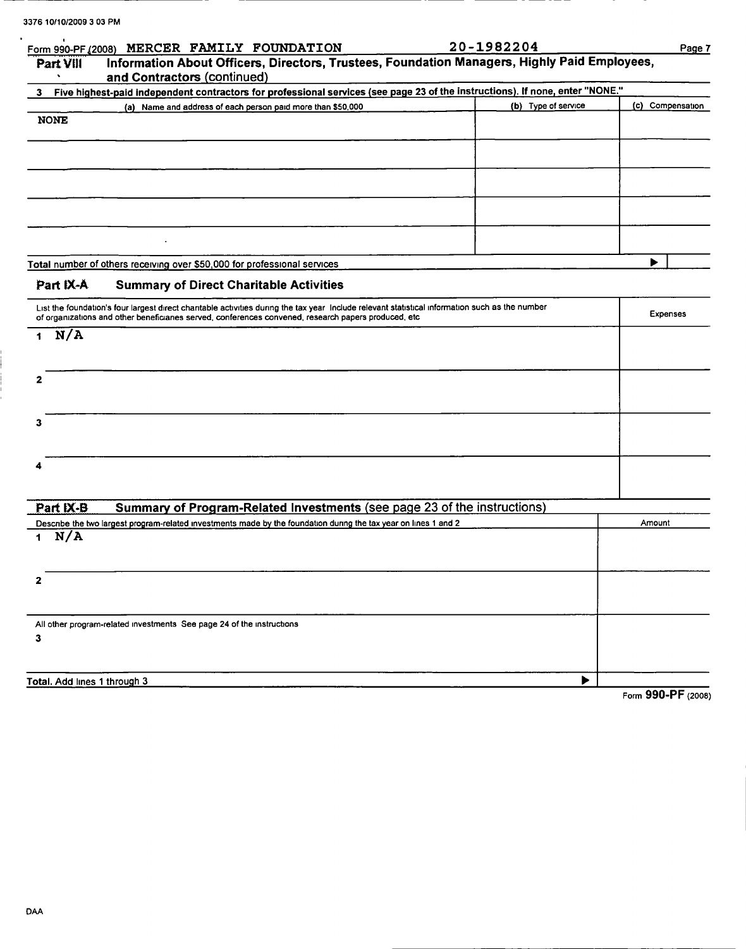| Form 990-PF (2008)           | MERCER FAMILY FOUNDATION                                                                                                                                                                                                                               | 20-1982204          | Page 7           |
|------------------------------|--------------------------------------------------------------------------------------------------------------------------------------------------------------------------------------------------------------------------------------------------------|---------------------|------------------|
| Part VIII                    | Information About Officers, Directors, Trustees, Foundation Managers, Highly Paid Employees,<br>and Contractors (continued)                                                                                                                            |                     |                  |
| 3                            | Five highest-paid independent contractors for professional services (see page 23 of the instructions). If none, enter "NONE."                                                                                                                          |                     |                  |
|                              | (a) Name and address of each person paid more than \$50,000                                                                                                                                                                                            | (b) Type of service | (c) Compensation |
| <b>NONE</b>                  |                                                                                                                                                                                                                                                        |                     |                  |
|                              |                                                                                                                                                                                                                                                        |                     |                  |
|                              |                                                                                                                                                                                                                                                        |                     |                  |
|                              |                                                                                                                                                                                                                                                        |                     |                  |
|                              |                                                                                                                                                                                                                                                        |                     |                  |
|                              |                                                                                                                                                                                                                                                        |                     |                  |
|                              | Total number of others receiving over \$50,000 for professional services                                                                                                                                                                               |                     | ▶                |
| Part IX-A                    | <b>Summary of Direct Charitable Activities</b>                                                                                                                                                                                                         |                     |                  |
|                              | List the foundation's four largest direct charitable activities during the tax year Include relevant statistical information such as the number<br>of organizations and other beneficianes served, conferences convened, research papers produced, etc |                     | <b>Expenses</b>  |
| N/A                          |                                                                                                                                                                                                                                                        |                     |                  |
| 2                            |                                                                                                                                                                                                                                                        |                     |                  |
|                              |                                                                                                                                                                                                                                                        |                     |                  |
| з                            |                                                                                                                                                                                                                                                        |                     |                  |
|                              |                                                                                                                                                                                                                                                        |                     |                  |
| Part IX-B                    | Summary of Program-Related Investments (see page 23 of the instructions)                                                                                                                                                                               |                     |                  |
|                              | Describe the two largest program-related investments made by the foundation during the tax year on lines 1 and 2                                                                                                                                       |                     | Amount           |
| N/A<br>1                     |                                                                                                                                                                                                                                                        |                     |                  |
|                              |                                                                                                                                                                                                                                                        |                     |                  |
| 2                            |                                                                                                                                                                                                                                                        |                     |                  |
|                              |                                                                                                                                                                                                                                                        |                     |                  |
| 3                            | All other program-related investments See page 24 of the instructions                                                                                                                                                                                  |                     |                  |
|                              |                                                                                                                                                                                                                                                        |                     |                  |
| Total. Add lines 1 through 3 |                                                                                                                                                                                                                                                        |                     |                  |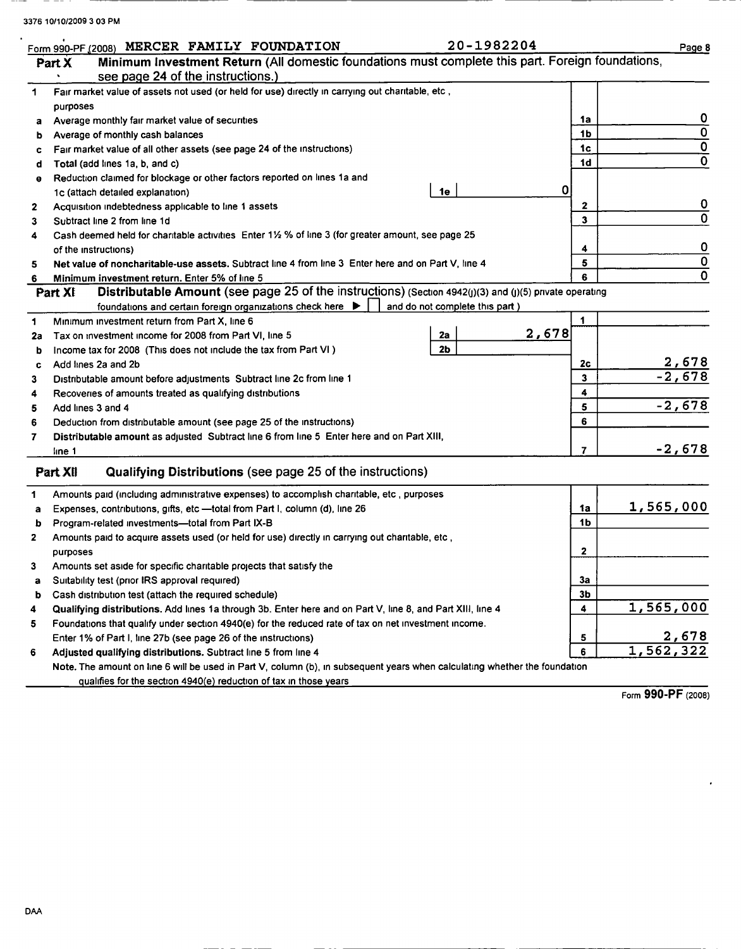$\ddot{\phantom{a}}$ 

|    | 20-1982204<br>Form 990-PF (2008) MERCER FAMILY FOUNDATION                                                                  |                         | Page 8                  |
|----|----------------------------------------------------------------------------------------------------------------------------|-------------------------|-------------------------|
|    | Minimum Investment Return (All domestic foundations must complete this part. Foreign foundations,<br>Part X                |                         |                         |
|    | see page 24 of the instructions.)                                                                                          |                         |                         |
| 1  | Fair market value of assets not used (or held for use) directly in carrying out charitable, etc,                           |                         |                         |
|    | purposes                                                                                                                   |                         |                         |
| a  | Average monthly fair market value of securities                                                                            | 1a                      | 0                       |
| b  | Average of monthly cash balances                                                                                           | 1 <sub>b</sub>          | $\overline{0}$          |
| c  | Fair market value of all other assets (see page 24 of the instructions)                                                    | 1 <sub>c</sub>          | $\overline{\mathbf{0}}$ |
| d  | Total (add lines 1a, b, and c)                                                                                             | 1 <sub>d</sub>          | $\overline{\mathbf{0}}$ |
| θ  | Reduction claimed for blockage or other factors reported on lines 1a and                                                   |                         |                         |
|    | 0<br>1e<br>1c (attach detailed explanation)                                                                                |                         |                         |
| 2  | Acquisition indebtedness applicable to line 1 assets                                                                       | 2                       | $\mathbf 0$             |
| 3  | Subtract line 2 from line 1d                                                                                               | $\overline{\mathbf{3}}$ | 0                       |
| 4  | Cash deemed held for charitable activities Enter 11/2 % of line 3 (for greater amount, see page 25                         |                         |                         |
|    | of the instructions)                                                                                                       | 4                       | 0                       |
| 5  | Net value of noncharitable-use assets. Subtract line 4 from line 3 Enter here and on Part V, line 4                        | 5                       | $\mathbf 0$             |
| 6  | Minimum investment return. Enter 5% of line 5                                                                              |                         | 0                       |
|    | Distributable Amount (see page 25 of the instructions) (Section 4942(j)(3) and (j)(5) private operating<br>Part XI         |                         |                         |
|    | foundations and certain foreign organizations check here $\blacktriangleright$<br>and do not complete this part)           |                         |                         |
| 1  | Minimum investment return from Part X, line 6                                                                              | 1                       |                         |
| 2a | 2,678<br>2a<br>Tax on investment income for 2008 from Part VI, line 5                                                      |                         |                         |
| b  | 2 <sub>b</sub><br>Income tax for 2008 (This does not include the tax from Part VI)                                         |                         |                         |
| c  | Add lines 2a and 2b                                                                                                        | 2 <sub>c</sub>          |                         |
| 3  | Distributable amount before adjustments Subtract line 2c from line 1                                                       | 3                       | $\frac{2,678}{-2,678}$  |
| 4  | Recoveries of amounts treated as qualifying distributions                                                                  | 4                       |                         |
| 5  | Add lines 3 and 4                                                                                                          | 5                       | $-2,678$                |
| 6  | Deduction from distributable amount (see page 25 of the instructions)                                                      | 6                       |                         |
| 7  | Distributable amount as adjusted Subtract line 6 from line 5 Enter here and on Part XIII,                                  |                         |                         |
|    | line 1                                                                                                                     | $\overline{7}$          | $-2,678$                |
|    |                                                                                                                            |                         |                         |
|    | Qualifying Distributions (see page 25 of the instructions)<br>Part XII                                                     |                         |                         |
| 1  | Amounts paid (including administrative expenses) to accomplish charitable, etc , purposes                                  |                         |                         |
| а  | Expenses, contributions, gifts, etc -total from Part I, column (d), line 26                                                | 1a                      | 1,565,000               |
| b  | Program-related investments-total from Part IX-B                                                                           | 1 <sub>b</sub>          |                         |
| 2  | Amounts paid to acquire assets used (or held for use) directly in carrying out charitable, etc,                            |                         |                         |
|    | purposes                                                                                                                   | 2                       |                         |
| 3  | Amounts set aside for specific charitable projects that satisfy the                                                        |                         |                         |
| a  | Suitability test (prior IRS approval required)                                                                             | за                      |                         |
| b  | Cash distribution test (attach the required schedule)                                                                      | 3 <sub>b</sub>          |                         |
| 4  | Qualifying distributions. Add lines 1a through 3b. Enter here and on Part V, line 8, and Part XIII, line 4                 | 4                       | 1,565,000               |
| 5  | Foundations that qualify under section 4940(e) for the reduced rate of tax on net investment income.                       |                         |                         |
|    | Enter 1% of Part I, line 27b (see page 26 of the instructions)                                                             | 5                       | <u>2,678</u>            |
| 6  | Adjusted qualifying distributions. Subtract line 5 from line 4                                                             | 6                       | 1,562,322               |
|    | Note. The amount on line 6 will be used in Part V, column (b), in subsequent years when calculating whether the foundation |                         |                         |
|    | qualifies for the section 4940(e) reduction of tax in those years                                                          |                         |                         |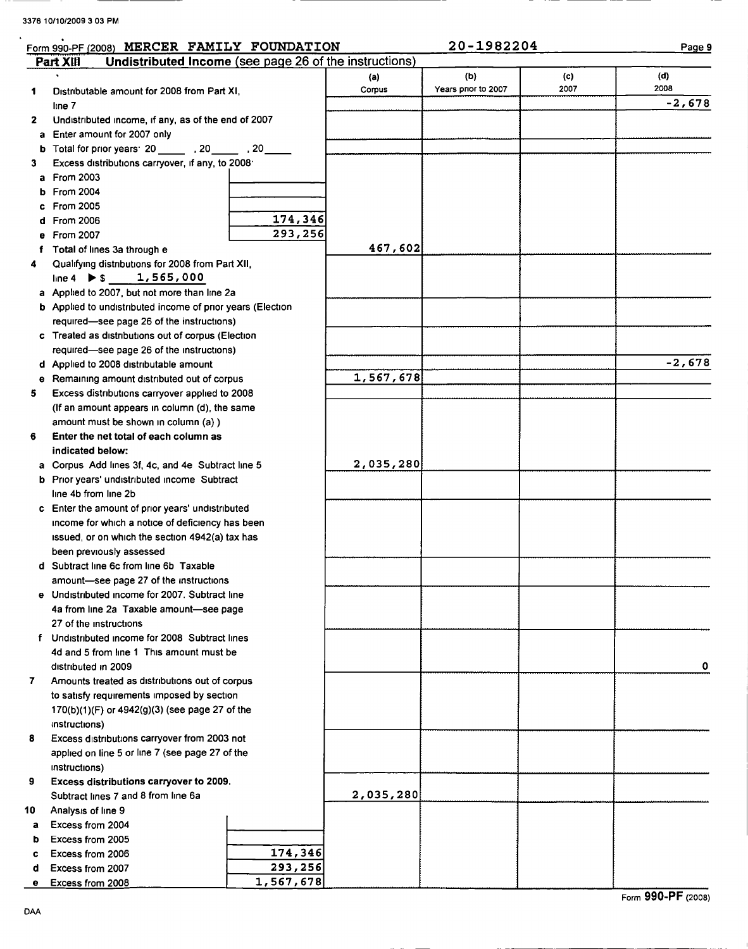$\ddot{\phantom{a}}$ 

|              | Form 990-PF (2008) MERCER FAMILY FOUNDATION                         |           |           | 20-1982204          |      | Page 9   |
|--------------|---------------------------------------------------------------------|-----------|-----------|---------------------|------|----------|
|              | Undistributed Income (see page 26 of the instructions)<br>Part XIII |           |           |                     |      |          |
|              |                                                                     |           | (a)       | (b)                 | (c)  | (d)      |
| 1            | Distributable amount for 2008 from Part XI,                         |           | Corpus    | Years prior to 2007 | 2007 | 2008     |
|              | line 7                                                              |           |           |                     |      | $-2,678$ |
| $\mathbf{2}$ | Undistributed income, if any, as of the end of 2007                 |           |           |                     |      |          |
|              | a Enter amount for 2007 only                                        |           |           |                     |      |          |
|              | b Total for prior years: 20 _______ , 20 ______ , 20 _____          |           |           |                     |      |          |
| 3            | Excess distributions carryover, if any, to 2008.                    |           |           |                     |      |          |
|              | a From 2003                                                         |           |           |                     |      |          |
|              | <b>b</b> From 2004                                                  |           |           |                     |      |          |
|              | c From 2005                                                         |           |           |                     |      |          |
|              | d From 2006                                                         | 174,346   |           |                     |      |          |
|              | e From 2007                                                         | 293,256   |           |                     |      |          |
|              | Total of lines 3a through e                                         |           | 467,602   |                     |      |          |
| 4            | Qualifying distributions for 2008 from Part XII,                    |           |           |                     |      |          |
|              | line 4 $\triangleright$ \$ 1,565,000                                |           |           |                     |      |          |
|              | a Applied to 2007, but not more than line 2a                        |           |           |                     |      |          |
|              | <b>b</b> Applied to undistributed income of prior years (Election   |           |           |                     |      |          |
|              | required-see page 26 of the instructions)                           |           |           |                     |      |          |
|              | c Treated as distributions out of corpus (Election                  |           |           |                     |      |          |
|              | required-see page 26 of the instructions)                           |           |           |                     |      |          |
|              | d Applied to 2008 distributable amount                              |           |           |                     |      | $-2,678$ |
|              | e Remaining amount distributed out of corpus                        |           | 1,567,678 |                     |      |          |
| 5            | Excess distributions carryover applied to 2008                      |           |           |                     |      |          |
|              | (If an amount appears in column (d), the same                       |           |           |                     |      |          |
|              | amount must be shown in column (a) )                                |           |           |                     |      |          |
| 6            | Enter the net total of each column as                               |           |           |                     |      |          |
|              | indicated below:                                                    |           |           |                     |      |          |
|              | a Corpus Add lines 3f, 4c, and 4e Subtract line 5                   |           | 2,035,280 |                     |      |          |
|              | b Prior years' undistributed income Subtract                        |           |           |                     |      |          |
|              | line 4b from line 2b                                                |           |           |                     |      |          |
|              | c Enter the amount of prior years' undistributed                    |           |           |                     |      |          |
|              | income for which a notice of deficiency has been                    |           |           |                     |      |          |
|              | issued, or on which the section 4942(a) tax has                     |           |           |                     |      |          |
|              | been previously assessed                                            |           |           |                     |      |          |
|              | d Subtract line 6c from line 6b Taxable                             |           |           |                     |      |          |
|              | amount-see page 27 of the instructions                              |           |           |                     |      |          |
|              | e Undistributed income for 2007. Subtract line                      |           |           |                     |      |          |
|              | 4a from line 2a Taxable amount-see page<br>27 of the instructions   |           |           |                     |      |          |
|              | f Undistributed income for 2008 Subtract lines                      |           |           |                     |      |          |
|              | 4d and 5 from line 1 This amount must be                            |           |           |                     |      |          |
|              | distributed in 2009                                                 |           |           |                     |      | 0        |
| 7.           | Amounts treated as distributions out of corpus                      |           |           |                     |      |          |
|              | to satisfy requirements imposed by section                          |           |           |                     |      |          |
|              | 170(b)(1)(F) or 4942(g)(3) (see page 27 of the                      |           |           |                     |      |          |
|              | instructions)                                                       |           |           |                     |      |          |
| 8            | Excess distributions carryover from 2003 not                        |           |           |                     |      |          |
|              | applied on line 5 or line 7 (see page 27 of the                     |           |           |                     |      |          |
|              | instructions)                                                       |           |           |                     |      |          |
| 9            | Excess distributions carryover to 2009.                             |           |           |                     |      |          |
|              | Subtract lines 7 and 8 from line 6a                                 |           | 2,035,280 |                     |      |          |
| 10           | Analysis of line 9                                                  |           |           |                     |      |          |
| a            | Excess from 2004                                                    |           |           |                     |      |          |
| b            | Excess from 2005                                                    |           |           |                     |      |          |
| c            | Excess from 2006                                                    | 174,346   |           |                     |      |          |
| d            | Excess from 2007                                                    | 293,256   |           |                     |      |          |
| е            | Excess from 2008                                                    | 1,567,678 |           |                     |      |          |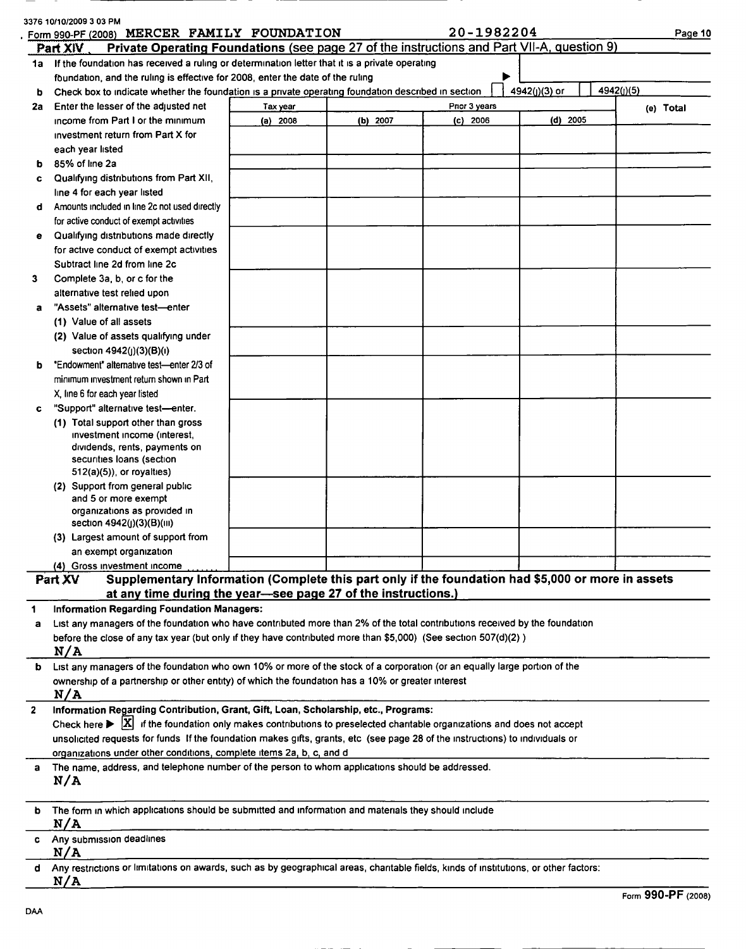|                  | 3376 10/10/2009 3 03 PM<br>MERCER FAMILY FOUNDATION<br>Form 990-PF (2008)                                                                          |          |          | 20-1982204                 |               | Page 10    |
|------------------|----------------------------------------------------------------------------------------------------------------------------------------------------|----------|----------|----------------------------|---------------|------------|
|                  | Private Operating Foundations (see page 27 of the instructions and Part VII-A, question 9)<br>Part XIV                                             |          |          |                            |               |            |
|                  | 1a If the foundation has received a ruling or determination letter that it is a private operating                                                  |          |          |                            |               |            |
|                  | foundation, and the ruling is effective for 2008, enter the date of the ruling                                                                     |          |          |                            | 4942(j)(3) or | 4942(j)(5) |
| ь                | Check box to indicate whether the foundation is a private operating foundation described in section                                                |          |          |                            |               |            |
| 2a               | Enter the lesser of the adjusted net<br>income from Part I or the minimum                                                                          | Tax year | (b) 2007 | Pnor 3 years<br>$(c)$ 2006 | $(d)$ 2005    | (e) Total  |
|                  | investment return from Part X for                                                                                                                  | (a) 2008 |          |                            |               |            |
|                  | each year listed                                                                                                                                   |          |          |                            |               |            |
| ь                | 85% of line 2a                                                                                                                                     |          |          |                            |               |            |
| c                | Qualifying distributions from Part XII,                                                                                                            |          |          |                            |               |            |
|                  | line 4 for each year listed                                                                                                                        |          |          |                            |               |            |
| d                | Amounts included in line 2c not used directly                                                                                                      |          |          |                            |               |            |
|                  | for active conduct of exempt activities                                                                                                            |          |          |                            |               |            |
| е                | Qualifying distributions made directly                                                                                                             |          |          |                            |               |            |
|                  | for active conduct of exempt activities                                                                                                            |          |          |                            |               |            |
|                  | Subtract line 2d from line 2c                                                                                                                      |          |          |                            |               |            |
| 3                | Complete 3a, b, or c for the                                                                                                                       |          |          |                            |               |            |
|                  | alternative test relied upon                                                                                                                       |          |          |                            |               |            |
| a                | "Assets" alternative test-enter                                                                                                                    |          |          |                            |               |            |
|                  | (1) Value of all assets                                                                                                                            |          |          |                            |               |            |
|                  | (2) Value of assets qualifying under                                                                                                               |          |          |                            |               |            |
|                  | section 4942(j)(3)(B)(i)                                                                                                                           |          |          |                            |               |            |
| b                | "Endowment" alternative test-enter 2/3 of                                                                                                          |          |          |                            |               |            |
|                  | minimum investment return shown in Part                                                                                                            |          |          |                            |               |            |
|                  | X, line 6 for each year listed                                                                                                                     |          |          |                            |               |            |
| c                | "Support" alternative test-enter.                                                                                                                  |          |          |                            |               |            |
|                  | (1) Total support other than gross                                                                                                                 |          |          |                            |               |            |
|                  | investment income (interest,<br>dividends, rents, payments on                                                                                      |          |          |                            |               |            |
|                  | securities loans (section                                                                                                                          |          |          |                            |               |            |
|                  | $512(a)(5)$ , or royalties)                                                                                                                        |          |          |                            |               |            |
|                  | (2) Support from general public                                                                                                                    |          |          |                            |               |            |
|                  | and 5 or more exempt                                                                                                                               |          |          |                            |               |            |
|                  | organizations as provided in                                                                                                                       |          |          |                            |               |            |
|                  | section 4942(j)(3)(B)(iii)                                                                                                                         |          |          |                            |               |            |
|                  | (3) Largest amount of support from                                                                                                                 |          |          |                            |               |            |
|                  | an exempt organization<br>(4) Gross investment income                                                                                              |          |          |                            |               |            |
|                  | Supplementary Information (Complete this part only if the foundation had \$5,000 or more in assets<br>Part XV                                      |          |          |                            |               |            |
|                  | at any time during the year-see page 27 of the instructions.)                                                                                      |          |          |                            |               |            |
| 1                | <b>Information Regarding Foundation Managers:</b>                                                                                                  |          |          |                            |               |            |
| a                | List any managers of the foundation who have contributed more than 2% of the total contributions received by the foundation                        |          |          |                            |               |            |
|                  | before the close of any tax year (but only if they have contributed more than \$5,000) (See section 507(d)(2))                                     |          |          |                            |               |            |
|                  | N/A                                                                                                                                                |          |          |                            |               |            |
| b                | List any managers of the foundation who own 10% or more of the stock of a corporation (or an equally large portion of the                          |          |          |                            |               |            |
|                  | ownership of a partnership or other entity) of which the foundation has a 10% or greater interest                                                  |          |          |                            |               |            |
|                  | N/A                                                                                                                                                |          |          |                            |               |            |
| $\boldsymbol{2}$ | Information Regarding Contribution, Grant, Gift, Loan, Scholarship, etc., Programs:                                                                |          |          |                            |               |            |
|                  | Check here $\triangleright$ $\vert X \vert$ if the foundation only makes contributions to preselected charitable organizations and does not accept |          |          |                            |               |            |
|                  | unsolicited requests for funds If the foundation makes gifts, grants, etc (see page 28 of the instructions) to individuals or                      |          |          |                            |               |            |
|                  | organizations under other conditions, complete items 2a, b, c, and d                                                                               |          |          |                            |               |            |
| a                | The name, address, and telephone number of the person to whom applications should be addressed.                                                    |          |          |                            |               |            |
|                  | N/A                                                                                                                                                |          |          |                            |               |            |
|                  |                                                                                                                                                    |          |          |                            |               |            |
| b                | The form in which applications should be submitted and information and materials they should include<br>N/A                                        |          |          |                            |               |            |
| c                | Any submission deadlines                                                                                                                           |          |          |                            |               |            |
|                  | N/A                                                                                                                                                |          |          |                            |               |            |
| d                | Any restrictions or limitations on awards, such as by geographical areas, charitable fields, kinds of institutions, or other factors:              |          |          |                            |               |            |
|                  | N/A                                                                                                                                                |          |          |                            |               |            |

 $\ddot{\phantom{a}}$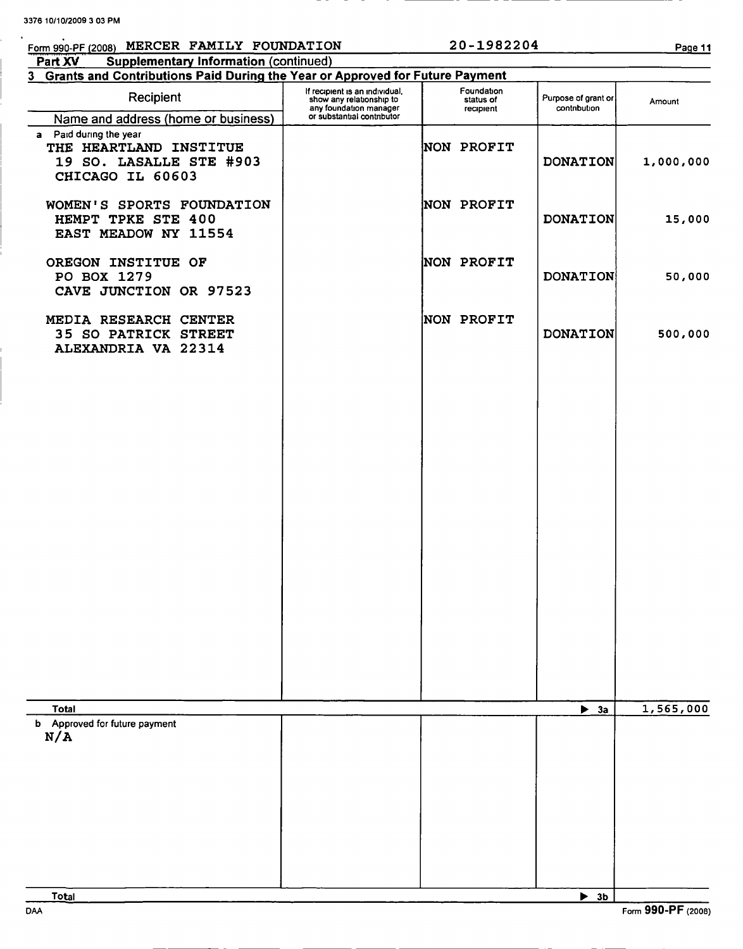# Form 990-PF (2008) MERCER FAMILY FOUNDATION 20-1982204 Page 11

| <b>Supplementary Information (continued)</b><br>Part XV                                         |                                                                                                                    |                                      |                                     |           |
|-------------------------------------------------------------------------------------------------|--------------------------------------------------------------------------------------------------------------------|--------------------------------------|-------------------------------------|-----------|
| 3 Grants and Contributions Paid During the Year or Approved for Future Payment                  |                                                                                                                    |                                      |                                     |           |
| Recipient                                                                                       | If recipient is an individual,<br>show any relationship to<br>any foundation manager<br>or substantial contributor | Foundation<br>status of<br>recipient | Purpose of grant or<br>contribution | Amount    |
| Name and address (home or business)                                                             |                                                                                                                    |                                      |                                     |           |
| a Paid during the year<br>THE HEARTLAND INSTITUE<br>19 SO. LASALLE STE #903<br>CHICAGO IL 60603 |                                                                                                                    | <b>NON PROFIT</b>                    | <b>DONATION</b>                     | 1,000,000 |
| WOMEN'S SPORTS FOUNDATION<br>HEMPT TPKE STE 400<br>EAST MEADOW NY 11554                         |                                                                                                                    | NON PROFIT                           | <b>DONATION</b>                     | 15,000    |
| OREGON INSTITUE OF<br>PO BOX 1279<br>CAVE JUNCTION OR 97523                                     |                                                                                                                    | NON PROFIT                           | <b>DONATION</b>                     | 50,000    |
| MEDIA RESEARCH CENTER<br><b>35 SO PATRICK STREET</b><br>ALEXANDRIA VA 22314                     |                                                                                                                    | NON PROFIT                           | <b>DONATION</b>                     | 500,000   |
|                                                                                                 |                                                                                                                    |                                      |                                     |           |
|                                                                                                 |                                                                                                                    |                                      |                                     |           |
|                                                                                                 |                                                                                                                    |                                      |                                     |           |
|                                                                                                 |                                                                                                                    |                                      |                                     |           |
|                                                                                                 |                                                                                                                    |                                      |                                     |           |
|                                                                                                 |                                                                                                                    |                                      |                                     |           |
|                                                                                                 |                                                                                                                    |                                      |                                     |           |
| <b>Total</b>                                                                                    |                                                                                                                    |                                      | $\blacktriangleright$ 3a            | 1,565,000 |
| b Approved for future payment<br>N/A                                                            |                                                                                                                    |                                      |                                     |           |
|                                                                                                 |                                                                                                                    |                                      |                                     |           |
|                                                                                                 |                                                                                                                    |                                      |                                     |           |
|                                                                                                 |                                                                                                                    |                                      |                                     |           |
|                                                                                                 |                                                                                                                    |                                      |                                     |           |
|                                                                                                 |                                                                                                                    |                                      |                                     |           |
|                                                                                                 |                                                                                                                    |                                      |                                     |           |

Total ► 3b DAA Form 990-PF (2008)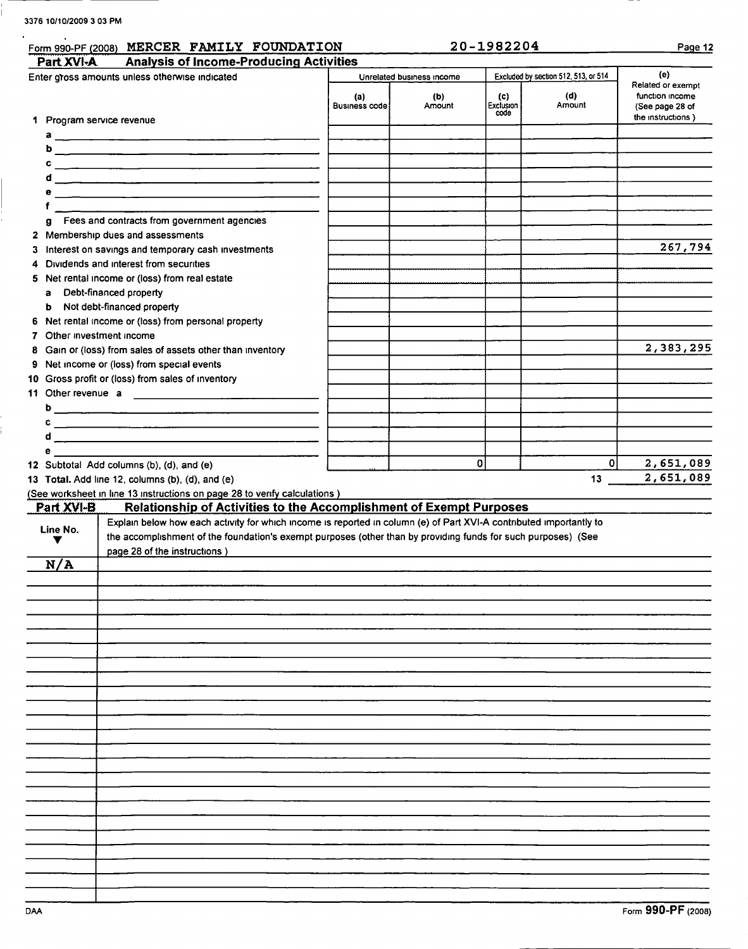| Form 990-PF (2008) MERCER FAMILY FOUNDATION                                                                           |                             |                           | 20-1982204               |                                      | Page 12                                                                      |
|-----------------------------------------------------------------------------------------------------------------------|-----------------------------|---------------------------|--------------------------|--------------------------------------|------------------------------------------------------------------------------|
| Part XVI-A<br><b>Analysis of Income-Producing Activities</b>                                                          |                             |                           |                          |                                      |                                                                              |
| Enter gross amounts unless otherwise indicated                                                                        |                             | Unrelated business income |                          | Excluded by section 512, 513, or 514 | (e)                                                                          |
| 1 Program service revenue                                                                                             | (a)<br><b>Business code</b> | (b)<br>Amount             | (c)<br>Exclusion<br>code | (d)<br>Amount                        | Related or exempt<br>function income<br>(See page 28 of<br>the instructions) |
| a                                                                                                                     |                             |                           |                          |                                      |                                                                              |
| ь                                                                                                                     |                             |                           |                          |                                      |                                                                              |
|                                                                                                                       |                             |                           |                          |                                      |                                                                              |
| <u> La contrada de la contrada de la contrada de la contrada de la contrada de la contrada de la contrada de la c</u> |                             |                           |                          |                                      |                                                                              |
|                                                                                                                       |                             |                           |                          |                                      |                                                                              |
| Fees and contracts from government agencies<br>g                                                                      |                             |                           |                          |                                      |                                                                              |
| 2 Membership dues and assessments<br>3 Interest on savings and temporary cash investments                             |                             |                           |                          |                                      | 267,794                                                                      |
| 4 Dividends and interest from securities                                                                              |                             |                           |                          |                                      |                                                                              |
| 5 Net rental income or (loss) from real estate                                                                        |                             |                           |                          |                                      |                                                                              |
| Debt-financed property<br>a                                                                                           |                             |                           |                          |                                      |                                                                              |
| Not debt-financed property<br>b                                                                                       |                             |                           |                          |                                      |                                                                              |
| 6 Net rental income or (loss) from personal property<br>7 Other investment income                                     |                             |                           |                          |                                      |                                                                              |
| 8 Gain or (loss) from sales of assets other than inventory                                                            |                             |                           |                          |                                      | 2,383,295                                                                    |
| 9 Net income or (loss) from special events                                                                            |                             |                           |                          |                                      |                                                                              |
| 10 Gross profit or (loss) from sales of inventory                                                                     |                             |                           |                          |                                      |                                                                              |
|                                                                                                                       |                             |                           |                          |                                      |                                                                              |

| 11 Other revenue a |  |  |
|--------------------|--|--|
|                    |  |  |
|                    |  |  |

|  | 12. Subtotal, Add columns (b), (d), and (e). |  |  |
|--|----------------------------------------------|--|--|

d

12 Subtotal Add columns (b), (d), and (e)<br>13 Total. Add line 12, columns (b), (d), and (e) 0 13 2, 651,089 13 Total. Add line 12, columns (b), (d), and (e) 13  $\overline{a}$ 

(See worksheet in line 13 instructions on page 28 to verify calculations)

| <u>Part XVI-B</u> | Relationship of Activities to the Accomplishment of Exempt Purposes                                                 |
|-------------------|---------------------------------------------------------------------------------------------------------------------|
|                   | Explain below how each activity for which income is reported in column (e) of Part XVI-A contributed importantly to |
| Line No.          | the accomplishment of the foundation's exempt purposes (other than by providing funds for such purposes) (See       |
|                   |                                                                                                                     |
|                   | page 28 of the instructions)                                                                                        |
| N/A               |                                                                                                                     |
|                   |                                                                                                                     |
|                   |                                                                                                                     |
|                   |                                                                                                                     |
|                   |                                                                                                                     |
|                   |                                                                                                                     |
|                   |                                                                                                                     |
|                   |                                                                                                                     |
|                   |                                                                                                                     |
|                   |                                                                                                                     |
|                   |                                                                                                                     |
|                   |                                                                                                                     |
|                   |                                                                                                                     |
|                   |                                                                                                                     |
|                   |                                                                                                                     |
|                   |                                                                                                                     |
|                   |                                                                                                                     |
|                   |                                                                                                                     |
|                   |                                                                                                                     |
|                   |                                                                                                                     |
|                   |                                                                                                                     |
|                   |                                                                                                                     |
|                   |                                                                                                                     |
|                   |                                                                                                                     |
|                   |                                                                                                                     |
|                   |                                                                                                                     |
|                   |                                                                                                                     |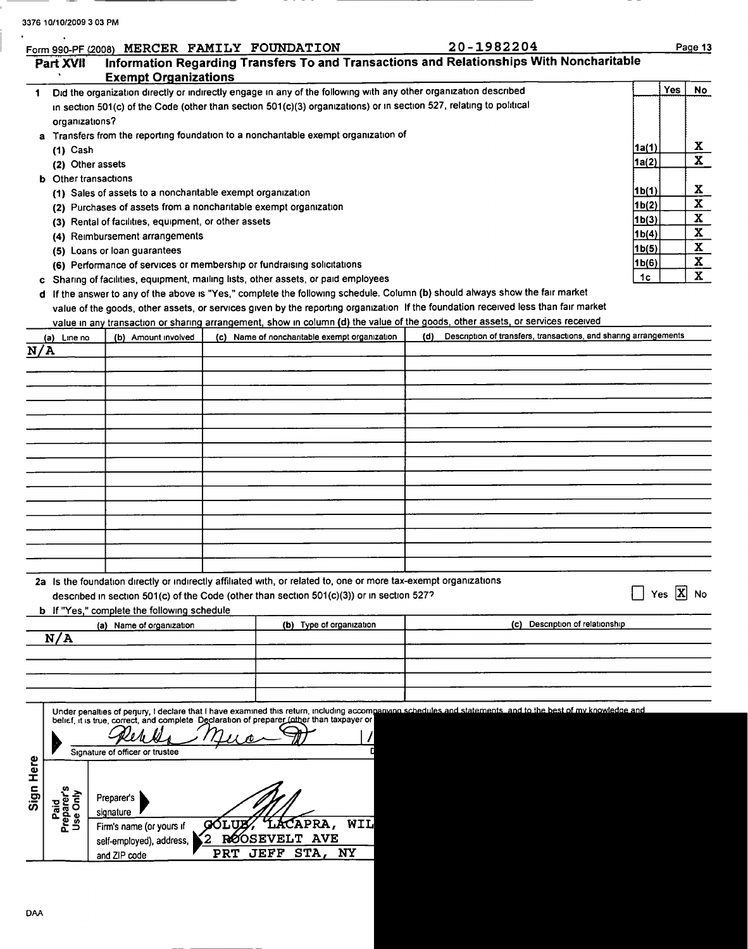| 3376 10/10/2009 3 03 PM |  |  |  |
|-------------------------|--|--|--|
|-------------------------|--|--|--|

|                                | Form 990-PF (2008) MERCER FAMILY FOUNDATION                                                                                    |              |                                                                                                                  |  | 20-1982204                                                                                                                                                                                         |       |        | Page 13      |
|--------------------------------|--------------------------------------------------------------------------------------------------------------------------------|--------------|------------------------------------------------------------------------------------------------------------------|--|----------------------------------------------------------------------------------------------------------------------------------------------------------------------------------------------------|-------|--------|--------------|
| Part XVII                      | <b>Exempt Organizations</b>                                                                                                    |              |                                                                                                                  |  | Information Regarding Transfers To and Transactions and Relationships With Noncharitable                                                                                                           |       |        |              |
| 1                              |                                                                                                                                |              | Did the organization directly or indirectly engage in any of the following with any other organization described |  |                                                                                                                                                                                                    |       | Yes    | No           |
|                                |                                                                                                                                |              |                                                                                                                  |  | in section 501(c) of the Code (other than section 501(c)(3) organizations) or in section 527, relating to political                                                                                |       |        |              |
|                                | organizations?                                                                                                                 |              |                                                                                                                  |  |                                                                                                                                                                                                    |       |        |              |
|                                |                                                                                                                                |              | a Transfers from the reporting foundation to a noncharitable exempt organization of                              |  |                                                                                                                                                                                                    |       |        |              |
| $(1)$ Cash                     |                                                                                                                                |              |                                                                                                                  |  |                                                                                                                                                                                                    |       |        | X            |
|                                | (2) Other assets                                                                                                               |              |                                                                                                                  |  |                                                                                                                                                                                                    | 1a(2) |        | $\mathbf{x}$ |
|                                | <b>b</b> Other transactions                                                                                                    |              |                                                                                                                  |  |                                                                                                                                                                                                    | 1b(1) |        | X            |
|                                | (1) Sales of assets to a noncharitable exempt organization<br>(2) Purchases of assets from a noncharitable exempt organization |              |                                                                                                                  |  |                                                                                                                                                                                                    | 1b(2) |        | X            |
|                                | (3) Rental of facilities, equipment, or other assets                                                                           |              |                                                                                                                  |  |                                                                                                                                                                                                    | 1b(3) |        | $\mathbf{x}$ |
|                                | (4) Reimbursement arrangements                                                                                                 |              |                                                                                                                  |  |                                                                                                                                                                                                    | 1b(4) |        | X            |
|                                | (5) Loans or loan guarantees                                                                                                   |              |                                                                                                                  |  |                                                                                                                                                                                                    | 1b(5) |        | X            |
|                                | (6) Performance of services or membership or fundraising solicitations                                                         |              |                                                                                                                  |  |                                                                                                                                                                                                    | 1b(6) |        | X            |
|                                |                                                                                                                                |              | c Sharing of facilities, equipment, mailing lists, other assets, or paid employees                               |  |                                                                                                                                                                                                    | 1c    |        | $\mathbf{x}$ |
|                                |                                                                                                                                |              |                                                                                                                  |  | d If the answer to any of the above is "Yes," complete the following schedule. Column (b) should always show the fair market                                                                       |       |        |              |
|                                |                                                                                                                                |              |                                                                                                                  |  | value of the goods, other assets, or services given by the reporting organization If the foundation received less than fair market                                                                 |       |        |              |
|                                |                                                                                                                                |              |                                                                                                                  |  | value in any transaction or sharing arrangement, show in column (d) the value of the goods, other assets, or services received<br>Description of transfers, transactions, and sharing arrangements |       |        |              |
| (a) Line no<br>N/A             | (b) Amount involved                                                                                                            |              | (c) Name of nonchantable exempt organization                                                                     |  | (d)                                                                                                                                                                                                |       |        |              |
|                                |                                                                                                                                |              |                                                                                                                  |  |                                                                                                                                                                                                    |       |        |              |
|                                |                                                                                                                                |              |                                                                                                                  |  |                                                                                                                                                                                                    |       |        |              |
|                                |                                                                                                                                |              |                                                                                                                  |  |                                                                                                                                                                                                    |       |        |              |
|                                |                                                                                                                                |              |                                                                                                                  |  |                                                                                                                                                                                                    |       |        |              |
|                                |                                                                                                                                |              |                                                                                                                  |  |                                                                                                                                                                                                    |       |        |              |
|                                |                                                                                                                                |              |                                                                                                                  |  |                                                                                                                                                                                                    |       |        |              |
|                                |                                                                                                                                |              |                                                                                                                  |  |                                                                                                                                                                                                    |       |        |              |
|                                |                                                                                                                                |              |                                                                                                                  |  |                                                                                                                                                                                                    |       |        |              |
|                                |                                                                                                                                |              |                                                                                                                  |  |                                                                                                                                                                                                    |       |        |              |
|                                |                                                                                                                                |              |                                                                                                                  |  |                                                                                                                                                                                                    |       |        |              |
|                                |                                                                                                                                |              |                                                                                                                  |  |                                                                                                                                                                                                    |       |        |              |
|                                |                                                                                                                                |              |                                                                                                                  |  |                                                                                                                                                                                                    |       |        |              |
|                                |                                                                                                                                |              |                                                                                                                  |  |                                                                                                                                                                                                    |       |        |              |
|                                |                                                                                                                                |              |                                                                                                                  |  |                                                                                                                                                                                                    |       |        |              |
|                                |                                                                                                                                |              | 2a Is the foundation directly or indirectly affiliated with, or related to, one or more tax-exempt organizations |  |                                                                                                                                                                                                    |       |        |              |
|                                |                                                                                                                                |              | described in section 501(c) of the Code (other than section $501(c)(3)$ ) or in section 527?                     |  |                                                                                                                                                                                                    |       | Yes  X | <b>No</b>    |
|                                | b If "Yes," complete the following schedule                                                                                    |              |                                                                                                                  |  |                                                                                                                                                                                                    |       |        |              |
| N/A                            | (a) Name of organization                                                                                                       |              | (b) Type of organization                                                                                         |  | (c) Description of relationship                                                                                                                                                                    |       |        |              |
|                                |                                                                                                                                |              |                                                                                                                  |  |                                                                                                                                                                                                    |       |        |              |
|                                |                                                                                                                                |              |                                                                                                                  |  |                                                                                                                                                                                                    |       |        |              |
|                                |                                                                                                                                |              |                                                                                                                  |  |                                                                                                                                                                                                    |       |        |              |
|                                |                                                                                                                                |              |                                                                                                                  |  |                                                                                                                                                                                                    |       |        |              |
|                                |                                                                                                                                |              |                                                                                                                  |  | Under penalties of perjury, I declare that I have examined this return, including accompanying schedules and statements and to the best of my knowledge and                                        |       |        |              |
|                                |                                                                                                                                |              | belief, it is true, correct, and complete Declaration of preparer (other than taxpayer or                        |  |                                                                                                                                                                                                    |       |        |              |
|                                |                                                                                                                                |              |                                                                                                                  |  |                                                                                                                                                                                                    |       |        |              |
|                                | Signature of officer or trustee                                                                                                |              |                                                                                                                  |  |                                                                                                                                                                                                    |       |        |              |
|                                |                                                                                                                                |              |                                                                                                                  |  |                                                                                                                                                                                                    |       |        |              |
| Sign Here                      | Preparer's                                                                                                                     |              |                                                                                                                  |  |                                                                                                                                                                                                    |       |        |              |
| Paid<br>Preparer's<br>Use Only | signature                                                                                                                      |              |                                                                                                                  |  |                                                                                                                                                                                                    |       |        |              |
|                                | Firm's name (or yours if                                                                                                       |              | WIL<br>APRA,                                                                                                     |  |                                                                                                                                                                                                    |       |        |              |
|                                | self-employed), address,                                                                                                       | $\mathbf{2}$ | <b>ROOSEVELT</b><br><b>AVE</b>                                                                                   |  |                                                                                                                                                                                                    |       |        |              |
|                                | and ZIP code                                                                                                                   | <b>PRT</b>   | STA,<br>JEFF<br>NY                                                                                               |  |                                                                                                                                                                                                    |       |        |              |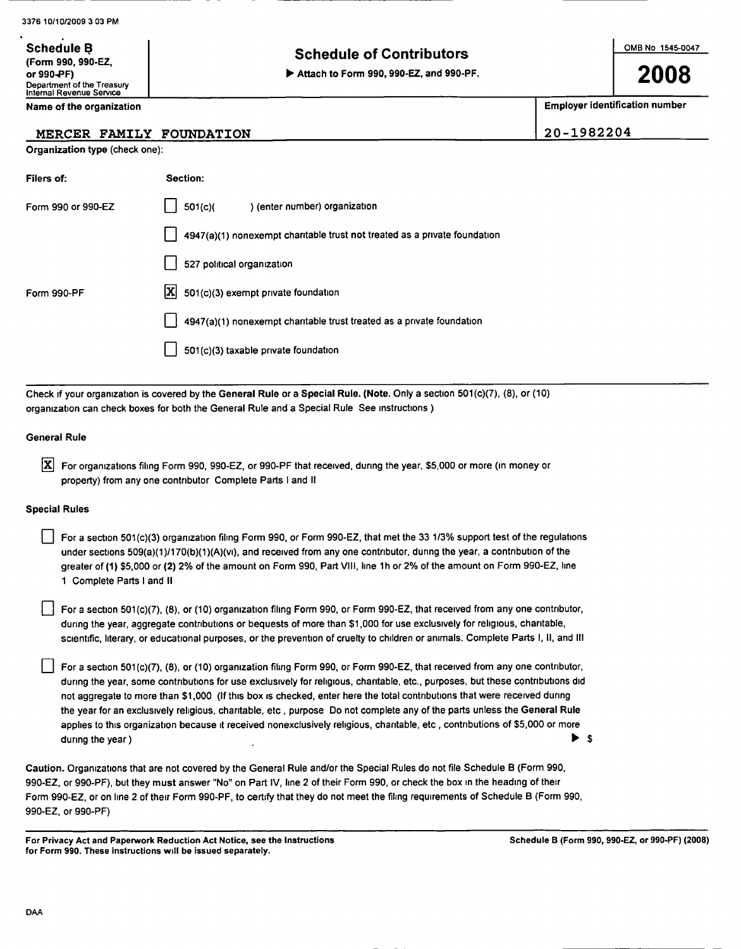(F orm 990 , 990-EZ,

Schedule B

### Schedule of Contributors

or 990?F) ► Attach to Form <sup>990</sup> , 990-EZ , and 990-PF.

200

Employer identification number

20-1982204

| Name of the organization |  |
|--------------------------|--|
|--------------------------|--|

Department of the Treasury Internal Revenue Service

### MERCER FAMILY FOUNDATION

Organization type (check one):

| Filers of:         | Section:                                                                  |
|--------------------|---------------------------------------------------------------------------|
| Form 990 or 990-EZ | 501(c)<br>) (enter number) organization                                   |
|                    | 4947(a)(1) nonexempt charitable trust not treated as a private foundation |
|                    | 527 political organization                                                |
| Form 990-PF        | $ \mathbf{X} $ 501(c)(3) exempt private foundation                        |
|                    | 4947(a)(1) nonexempt charitable trust treated as a private foundation     |
|                    | 501(c)(3) taxable private foundation                                      |

Check if your organization is covered by the General Rule or a Special Rule. (Note . Only a section 501(c)(7), (8), or (10) organization can check boxes for both the General Rule and a Special Rule See instructions )

### General Rule

For organizations filing Form 990, 990-EZ, or 990-PF that received, during the year, \$5,000 or more (in money or property) from any one contributor Complete Parts <sup>I</sup> and II

### Special Rules

For a section 501(c)(3) organization filing Form 990, or Form 990-EZ, that met the 33 1/3% support test of the regulations under sections 509(a)(1)/170(b)(1)(A)(vi), and received from any one contributor, during the year, a contribution of the greater of (1) \$5,000 or (2) 2% of the amount on Form 990, Part VIII, line 1h or 2% of the amount on Form 990-EZ, line <sup>1</sup> Complete Parts <sup>I</sup> and II

For a section 501(c)(7), (8), or (10) organization filing Form 990, or Form 990-EZ, that received from any one contributor, during the year, aggregate contributions or bequests of more than \$1,000 for use exclusively for religious, charitable, scientific, literary, or educational purposes, or the prevention of cruelty to children or animals. Complete Parts I, II, and III

For a section 501(c)(7), (8), or (10) organization filing Form 990, or Form 990-EZ, that received from any one contributor, during the year, some contributions for use exclusively for religious, charitable, etc., purposes, but these contributions did not aggregate to more than \$1,000 (If this box is checked, enter here the total contributions that were received during the year for an exclusively religious, charitable, etc , purpose Do not complete any of the parts unless the General Rule applies to this organization because it received nonexclusively religious, charitable, etc , contributions of \$5,000 or more during the year)  $\triangleright$  \$

Caution. Organizations that are not covered by the General Rule and/or the Special Rules do not file Schedule B (Form 990, 990-EZ, or 990-PF), but they must answer "No" on Part IV, line 2 of their Form 990, or check the box in the heading of their Form 990-EZ, or on line 2 of their Form 990-PF, to certify that they do not meet the filing requirements of Schedule B (Form 990, 990-EZ, or 990-PF)

For Privacy Act and Paperwork Reduction Act Notice, see the Instructions Schedule B (Form 990, 990-EZ, or 990-PF) (2008) for Form 990. These instructions will be issued separately.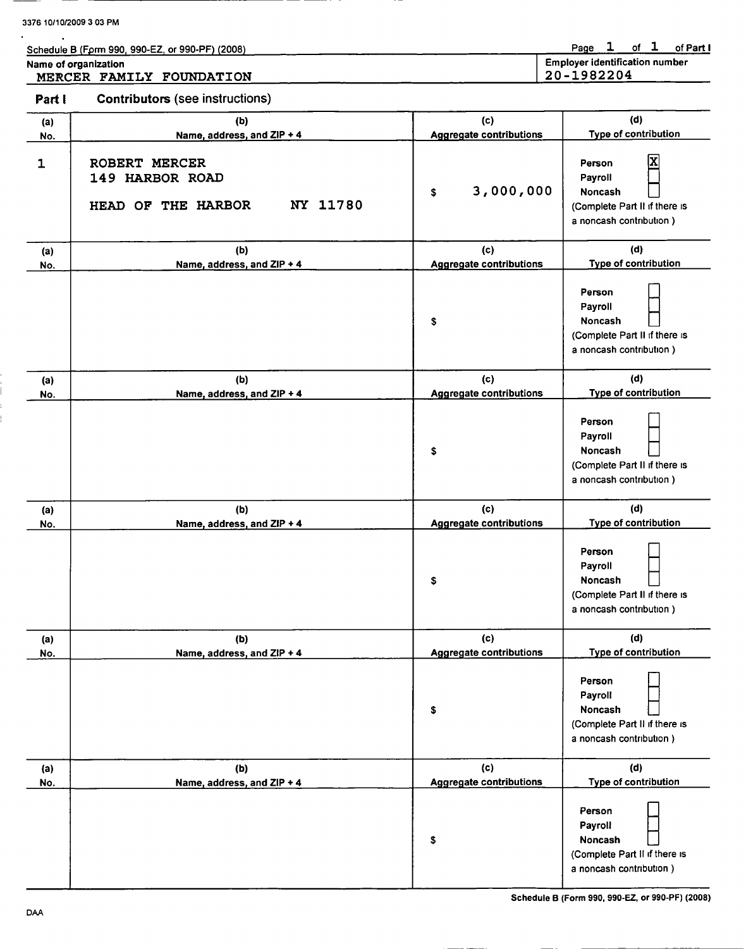|  |  | Schedule B (Form 990, 990-EZ, or 990-PF) (2008) |  |
|--|--|-------------------------------------------------|--|

Page 1 of 1 of Part I

| Name of organization |  |
|----------------------|--|
|                      |  |

MERCER FAMILY FOUNDATION

Employer identification number 20-1982204

Part I Contributors (see instructions)

| (a)        | (b)                                                                | (c)                            | (d)                                                                                             |
|------------|--------------------------------------------------------------------|--------------------------------|-------------------------------------------------------------------------------------------------|
| No.        | Name, address, and ZIP + 4                                         | <b>Aggregate contributions</b> | Type of contribution                                                                            |
| 1          | ROBERT MERCER<br>149 HARBOR ROAD<br>NY 11780<br>HEAD OF THE HARBOR | 3,000,000<br>\$                | X<br>Person<br>Payroll<br>Noncash<br>(Complete Part II if there is<br>a noncash contribution)   |
| (a)        | (b)                                                                | (c)                            | (d)                                                                                             |
| No.        | Name, address, and ZIP + 4                                         | <b>Aggregate contributions</b> | Type of contribution                                                                            |
|            |                                                                    | \$                             | Person<br>Payroll<br>Noncash<br>(Complete Part II if there is<br>a noncash contribution)        |
| (a)        | (b)                                                                | (c)                            | (d)                                                                                             |
| No.        | Name, address, and ZIP + 4                                         | <b>Aggregate contributions</b> | Type of contribution                                                                            |
|            |                                                                    | \$                             | Person<br>Payroll<br><b>Noncash</b><br>(Complete Part II if there is<br>a noncash contribution) |
| (a)        | (b)                                                                | (c)                            | (d)                                                                                             |
| No.        | Name, address, and ZIP + 4                                         | <b>Aggregate contributions</b> | Type of contribution                                                                            |
|            |                                                                    | \$                             | Person<br>Payroll<br><b>Noncash</b><br>(Complete Part II if there is<br>a noncash contribution) |
| (a)        | (b)                                                                | (c)                            | (d)                                                                                             |
| <u>No.</u> | Name, address, and ZIP + 4                                         | <b>Aggregate contributions</b> | <b>Type of contribution</b>                                                                     |
|            |                                                                    | \$                             | Person<br>Payroll<br>Noncash<br>(Complete Part II if there is<br>a noncash contribution)        |
| (a)        | (b)                                                                | (c)                            | (d)                                                                                             |
| No.        | Name, address, and ZIP + 4                                         | <b>Aggregate contributions</b> | Type of contribution                                                                            |
|            |                                                                    | \$                             | Person<br>Payroll<br>Noncash<br>(Complete Part II if there is<br>a noncash contribution)        |

Schedule B (Form 990, 990-EZ, or 990-PF) (2008)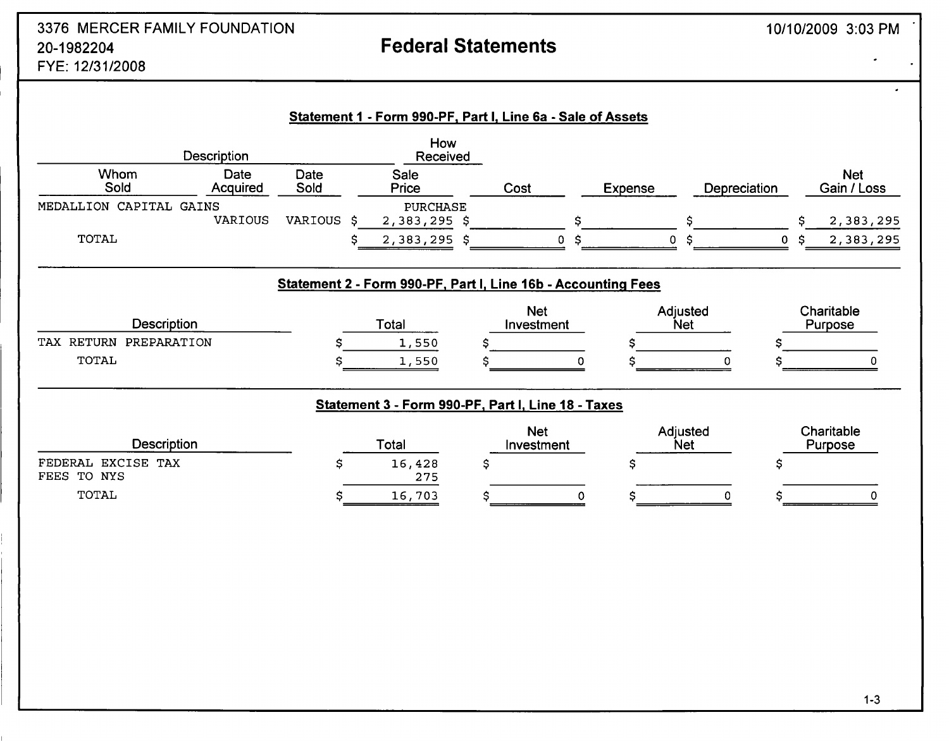## 3376 MERCER FAMILY FOUNDATION 20-1982204 Federal Statements FYE: 12/31/2008

| Description<br>Received |                  |              |                 |      |         |              |                           |
|-------------------------|------------------|--------------|-----------------|------|---------|--------------|---------------------------|
| Whom<br>Sold            | Date<br>Acquired | Date<br>Sold | Sale<br>Price   | Cost | Expense | Depreciation | <b>Net</b><br>Gain / Loss |
| MEDALLION CAPITAL GAINS |                  |              | <b>PURCHASE</b> |      |         |              |                           |
|                         | VARIOUS          | VARIOUS \$   | $2,383,295$ \$  |      |         |              | 2,383,295                 |
| TOTAL                   |                  |              | $2,383,295$ \$  | 0 S  |         | o s          | 2,383,295                 |

## Statement 2 - Form 990-PF. Part I, Line 16b - Accounting Fees

| Description               | Total |  | Net<br>Investment |  | Adjusted<br><b>Net</b> |  | Charitable<br>Purpose |  |
|---------------------------|-------|--|-------------------|--|------------------------|--|-----------------------|--|
| PREPARATION<br>TAX RETURN | 1,550 |  |                   |  |                        |  |                       |  |
| TOTAL                     | 1,550 |  |                   |  |                        |  |                       |  |

## Statement 3 - Form 990-PF, Part I, Line 18 - Taxes

| <b>Description</b>                | Total         | <b>Net</b><br>Investment | Adjusted<br><b>Net</b> | Charitable<br>Purpose |
|-----------------------------------|---------------|--------------------------|------------------------|-----------------------|
| FEDERAL EXCISE TAX<br>FEES TO NYS | 16,428<br>275 |                          |                        |                       |
| TOTAL                             | 16,703        |                          |                        |                       |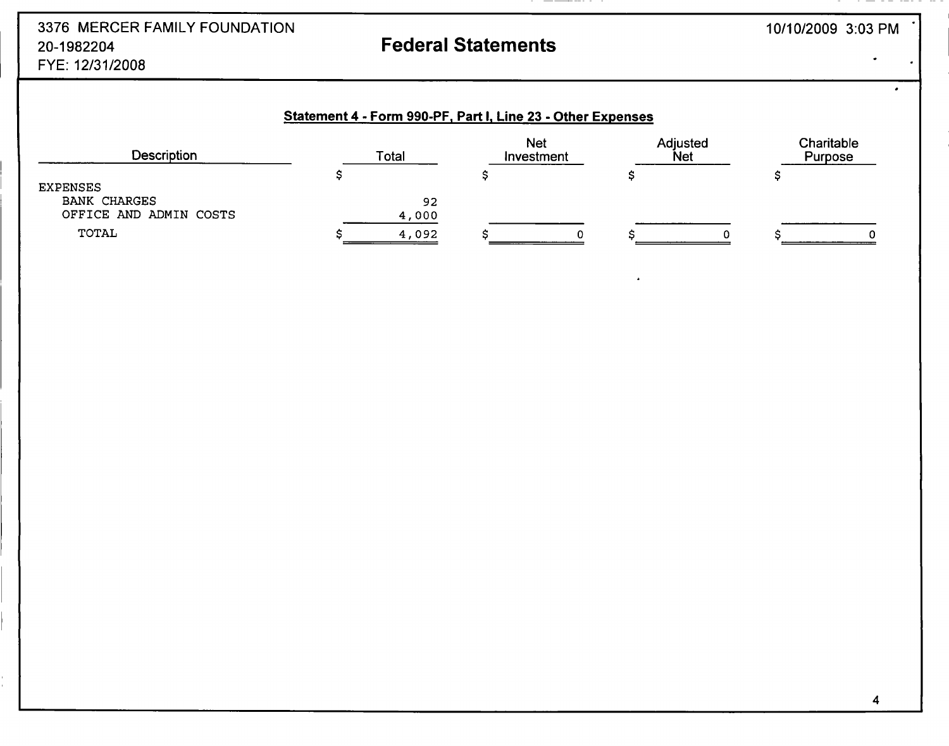## 3376 MERCER FAMILY FOUNDATION 20-1982204 Federal Statements FYE: 12/31/2008

 $\overline{\phantom{a}}$ 

## Statement 4 - Form 990-PF, Part I, Line 23 - Other Expenses

| <b>Description</b>                            | Total | <b>Net</b><br>Investment | Adjusted<br><b>Net</b> | Charitable<br>Purpose |
|-----------------------------------------------|-------|--------------------------|------------------------|-----------------------|
| <b>EXPENSES</b>                               |       |                          |                        |                       |
| <b>BANK CHARGES</b><br>OFFICE AND ADMIN COSTS | 4,000 | 92                       |                        |                       |
| TOTAL                                         | 4,092 |                          |                        |                       |